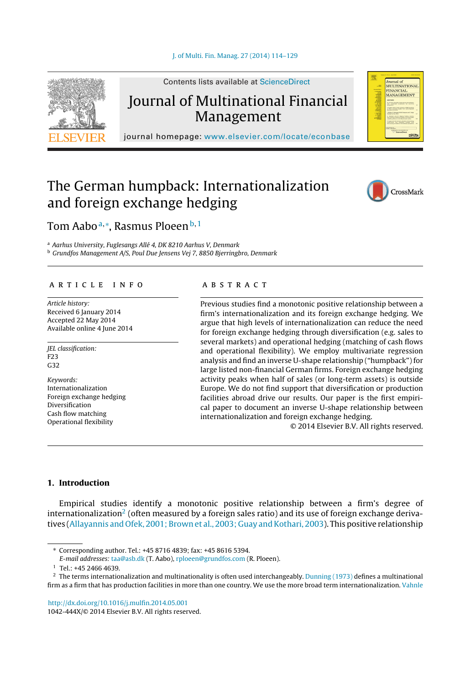

Contents lists available at [ScienceDirect](http://www.sciencedirect.com/science/journal/1042444X)

# Journal of Multinational Financial

journal homepage: [www.elsevier.com/locate/econbase](http://www.elsevier.com/locate/econbase)

## The German humpback: Internationalization and foreign exchange hedging



OOUTHU OI<br>MTTL/PINTA/PICNTAT MULTINATION/<br>FINANCIAL<br>MANAGEMENT

### Tom Aaboª,\*, Rasmus Ploeen<sup>b,1</sup>

<sup>a</sup> Aarhus University, Fuglesangs Allé 4, DK 8210 Aarhus V, Denmark **b Grundfos Management A/S, Poul Due Jensens Vej 7, 8850 Bjerringbro, Denmark** 

#### a r t i c l e i n f o

Article history: Received 6 January 2014 Accepted 22 May 2014 Available online 4 June 2014

JEL classification: F23 G32

Keywords: Internationalization Foreign exchange hedging Diversification Cash flow matching Operational flexibility

#### a b s t r a c t

Previous studies find a monotonic positive relationship between a firm's internationalization and its foreign exchange hedging. We argue that high levels of internationalization can reduce the need for foreign exchange hedging through diversification (e.g. sales to several markets) and operational hedging (matching of cash flows and operational flexibility). We employ multivariate regression analysis and find an inverse U-shape relationship ("humpback") for large listed non-financial German firms. Foreign exchange hedging activity peaks when half of sales (or long-term assets) is outside Europe. We do not find support that diversification or production facilities abroad drive our results. Our paper is the first empirical paper to document an inverse U-shape relationship between internationalization and foreign exchange hedging.

© 2014 Elsevier B.V. All rights reserved.

#### **1. Introduction**

Empirical studies identify a monotonic positive relationship between a firm's degree of internationalization<sup>2</sup> (often measured by a foreign sales ratio) and its use of foreign exchange deriva-tives [\(Allayannis](#page-14-0) [and](#page-14-0) [Ofek,](#page-14-0) [2001;](#page-14-0) [Brown](#page-14-0) et [al.,](#page-14-0) [2003;](#page-14-0) [Guay](#page-14-0) and Kothari, [2003\).](#page-14-0) This positive relationship

1042-444X/© 2014 Elsevier B.V. All rights reserved.

<sup>∗</sup> Corresponding author. Tel.: +45 8716 4839; fax: +45 8616 5394.

E-mail addresses: [taa@asb.dk](mailto:taa@asb.dk) (T. Aabo), [rploeen@grundfos.com](mailto:rploeen@grundfos.com) (R. Ploeen).

<sup>1</sup> Tel.: +45 2466 4639.

 $^2$  The terms internationalization and multinationality is often used interchangeably. [Dunning](#page-14-0) [\(1973\)](#page-14-0) defines a multinational firm as a firm that has production facilities in more than one country. We use the more broad term internationalization. [Vahnle](#page-15-0)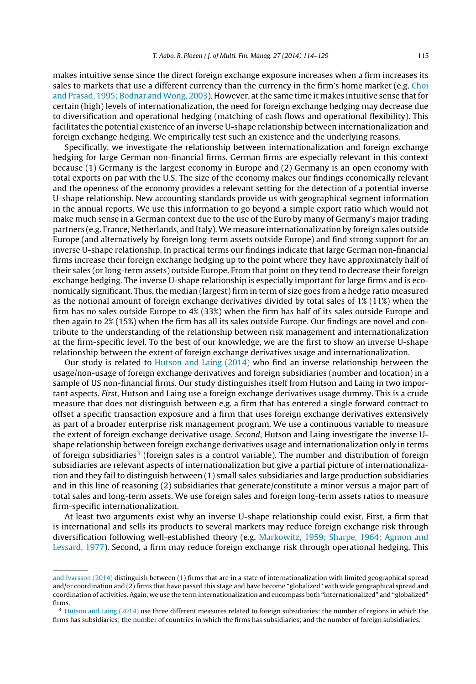makes intuitive sense since the direct foreign exchange exposure increases when a firm increases its sales to markets that use a different currency than the currency in the firm's home market (e.g. [Choi](#page-14-0) [and](#page-14-0) [Prasad,](#page-14-0) [1995;](#page-14-0) [Bodnar](#page-14-0) and Wong, [2003\).](#page-14-0) However, at the same time it makes intuitive sense that for certain (high) levels of internationalization, the need for foreign exchange hedging may decrease due to diversification and operational hedging (matching of cash flows and operational flexibility). This facilitates the potential existence of an inverse U-shape relationship between internationalization and foreign exchange hedging. We empirically test such an existence and the underlying reasons.

Specifically, we investigate the relationship between internationalization and foreign exchange hedging for large German non-financial firms. German firms are especially relevant in this context because (1) Germany is the largest economy in Europe and (2) Germany is an open economy with total exports on par with the U.S. The size of the economy makes our findings economically relevant and the openness of the economy provides a relevant setting for the detection of a potential inverse U-shape relationship. New accounting standards provide us with geographical segment information in the annual reports. We use this information to go beyond a simple export ratio which would not make much sense in a German context due to the use of the Euro by many of Germany's major trading partners (e.g. France, Netherlands, and Italy). We measure internationalization by foreign sales outside Europe (and alternatively by foreign long-term assets outside Europe) and find strong support for an inverse U-shape relationship. In practical terms our findings indicate that large German non-financial firms increase their foreign exchange hedging up to the point where they have approximately half of their sales (or long-term assets) outside Europe. From that point on they tend to decrease their foreign exchange hedging. The inverse U-shape relationship is especially important for large firms and is economically significant. Thus, the median (largest) firm in term of size goes from a hedge ratio measured as the notional amount of foreign exchange derivatives divided by total sales of 1% (11%) when the firm has no sales outside Europe to 4% (33%) when the firm has half of its sales outside Europe and then again to 2% (15%) when the firm has all its sales outside Europe. Our findings are novel and contribute to the understanding of the relationship between risk management and internationalization at the firm-specific level. To the best of our knowledge, we are the first to show an inverse U-shape relationship between the extent of foreign exchange derivatives usage and internationalization.

Our study is related to [Hutson](#page-14-0) [and](#page-14-0) [Laing](#page-14-0) [\(2014\)](#page-14-0) who find an inverse relationship between the usage/non-usage of foreign exchange derivatives and foreign subsidiaries (number and location) in a sample of US non-financial firms. Our study distinguishes itself from Hutson and Laing in two important aspects. First, Hutson and Laing use a foreign exchange derivatives usage dummy. This is a crude measure that does not distinguish between e.g. a firm that has entered a single forward contract to offset a specific transaction exposure and a firm that uses foreign exchange derivatives extensively as part of a broader enterprise risk management program. We use a continuous variable to measure the extent of foreign exchange derivative usage. Second, Hutson and Laing investigate the inverse Ushape relationship between foreign exchange derivatives usage and internationalization only in terms of foreign subsidiaries<sup>3</sup> (foreign sales is a control variable). The number and distribution of foreign subsidiaries are relevant aspects of internationalization but give a partial picture of internationalization and they fail to distinguish between (1) small sales subsidiaries and large production subsidiaries and in this line of reasoning (2) subsidiaries that generate/constitute a minor versus a major part of total sales and long-term assets. We use foreign sales and foreign long-term assets ratios to measure firm-specific internationalization.

At least two arguments exist why an inverse U-shape relationship could exist. First, a firm that is international and sells its products to several markets may reduce foreign exchange risk through diversification following well-established theory (e.g. [Markowitz,](#page-14-0) [1959;](#page-14-0) [Sharpe,](#page-14-0) [1964;](#page-14-0) [Agmon](#page-14-0) [and](#page-14-0) [Lessard,](#page-14-0) [1977\).](#page-14-0) Second, a firm may reduce foreign exchange risk through operational hedging. This

[and](#page-15-0) [Ivarsson](#page-15-0) [\(2014\)](#page-15-0) distinguish between (1) firms that are in a state of internationalization with limited geographical spread and/or coordination and (2) firms that have passed this stage and have become "globalized" with wide geographical spread and coordination of activities. Again, we use the term internationalization and encompass both "internationalized" and "globalized" firms.

 $3$  [Hutson](#page-14-0) [and](#page-14-0) [Laing](#page-14-0) [\(2014\)](#page-14-0) use three different measures related to foreign subsidiaries: the number of regions in which the firms has subsidiaries; the number of countries in which the firms has subsidiaries; and the number of foreign subsidiaries.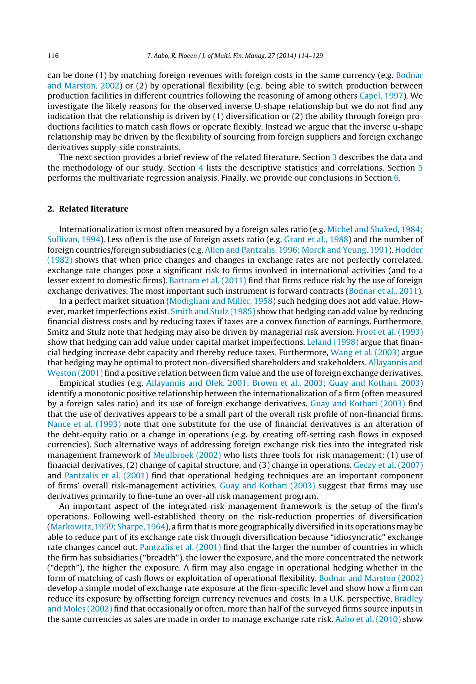can be done (1) by matching foreign revenues with foreign costs in the same currency (e.g. [Bodnar](#page-14-0) [and](#page-14-0) [Marston,](#page-14-0) [2002\)](#page-14-0) or (2) by operational flexibility (e.g. being able to switch production between production facilities in different countries following the reasoning of among others [Capel,](#page-14-0) [1997\).](#page-14-0) We investigate the likely reasons for the observed inverse U-shape relationship but we do not find any indication that the relationship is driven by (1) diversification or (2) the ability through foreign productions facilities to match cash flows or operate flexibly. Instead we argue that the inverse u-shape relationship may be driven by the flexibility of sourcing from foreign suppliers and foreign exchange derivatives supply-side constraints.

The next section provides a brief review of the related literature. Section [3](#page-3-0) describes the data and the methodology of our study. Section [4](#page-6-0) lists the descriptive statistics and correlations. Section [5](#page-6-0) performs the multivariate regression analysis. Finally, we provide our conclusions in Section [6.](#page-13-0)

#### **2. Related literature**

Internationalization is most often measured by a foreign sales ratio (e.g. [Michel](#page-14-0) [and](#page-14-0) [Shaked,](#page-14-0) [1984;](#page-14-0) [Sullivan,](#page-14-0) [1994\).](#page-14-0) Less often is the use of foreign assets ratio (e.g. [Grant](#page-14-0) et [al.,](#page-14-0) [1988\)](#page-14-0) and the number of foreign countries/foreign subsidiaries (e.g. [Allen](#page-14-0) [and](#page-14-0) [Pantzalis,](#page-14-0) [1996;](#page-14-0) [Morck](#page-14-0) [and](#page-14-0) [Yeung,](#page-14-0) [1991\).](#page-14-0) [Hodder](#page-14-0) [\(1982\)](#page-14-0) shows that when price changes and changes in exchange rates are not perfectly correlated, exchange rate changes pose a significant risk to firms involved in international activities (and to a lesser extent to domestic firms). [Bartram](#page-14-0) et [al.](#page-14-0) [\(2011\)](#page-14-0) find that firms reduce risk by the use of foreign exchange derivatives. The most important such instrument is forward contracts ([Bodnar](#page-14-0) et [al.,](#page-14-0) [2011\).](#page-14-0)

In a perfect market situation [\(Modigliani](#page-14-0) [and](#page-14-0) [Miller,](#page-14-0) [1958\)](#page-14-0) such hedging does not add value. How-ever, market imperfections exist. [Smith](#page-15-0) [and](#page-15-0) [Stulz](#page-15-0) [\(1985\)](#page-15-0) show that hedging can add value by reducing financial distress costs and by reducing taxes if taxes are a convex function of earnings. Furthermore, Smitz and Stulz note that hedging may also be driven by managerial risk aversion. [Froot](#page-14-0) et [al.](#page-14-0) [\(1993\)](#page-14-0) show that hedging can add value under capital market imperfections. [Leland](#page-14-0) [\(1998\)](#page-14-0) argue that financial hedging increase debt capacity and thereby reduce taxes. Furthermore, [Wang](#page-15-0) et [al.](#page-15-0) [\(2003\)](#page-15-0) argue that hedging may be optimal to protect non-diversified shareholders and stakeholders. [Allayannis](#page-14-0) [and](#page-14-0) [Weston](#page-14-0) [\(2001\)](#page-14-0) find a positive relation between firm value and the use of foreign exchange derivatives.

Empirical studies (e.g. [Allayannis](#page-14-0) [and](#page-14-0) [Ofek,](#page-14-0) [2001;](#page-14-0) [Brown](#page-14-0) et [al.,](#page-14-0) [2003;](#page-14-0) [Guay](#page-14-0) [and](#page-14-0) [Kothari,](#page-14-0) [2003\)](#page-14-0) identify a monotonic positive relationship between the internationalization of a firm (often measured by a foreign sales ratio) and its use of foreign exchange derivatives. [Guay](#page-14-0) [and](#page-14-0) [Kothari](#page-14-0) [\(2003\)](#page-14-0) find that the use of derivatives appears to be a small part of the overall risk profile of non-financial firms. [Nance](#page-14-0) et [al.](#page-14-0) [\(1993\)](#page-14-0) note that one substitute for the use of financial derivatives is an alteration of the debt-equity ratio or a change in operations (e.g. by creating off-setting cash flows in exposed currencies). Such alternative ways of addressing foreign exchange risk ties into the integrated risk management framework of [Meulbroek](#page-14-0) [\(2002\)](#page-14-0) who lists three tools for risk management: (1) use of financial derivatives, (2) change of capital structure, and (3) change in operations. [Geczy](#page-14-0) et [al.](#page-14-0) [\(2007\)](#page-14-0) and [Pantzalis](#page-14-0) et [al.](#page-14-0) [\(2001\)](#page-14-0) find that operational hedging techniques are an important component of firms' overall risk-management activities. [Guay](#page-14-0) [and](#page-14-0) [Kothari](#page-14-0) [\(2003\)](#page-14-0) suggest that firms may use derivatives primarily to fine-tune an over-all risk management program.

An important aspect of the integrated risk management framework is the setup of the firm's operations. Following well-established theory on the risk-reduction properties of diversification ([Markowitz,](#page-14-0) [1959;](#page-14-0) [Sharpe,](#page-14-0) [1964\),](#page-14-0) a firm thatis more geographically diversified in its operations may be able to reduce part of its exchange rate risk through diversification because "idiosyncratic" exchange rate changes cancel out. [Pantzalis](#page-14-0) et [al.](#page-14-0) [\(2001\)](#page-14-0) find that the larger the number of countries in which the firm has subsidiaries ("breadth"), the lower the exposure, and the more concentrated the network ("depth"), the higher the exposure. A firm may also engage in operational hedging whether in the form of matching of cash flows or exploitation of operational flexibility. [Bodnar](#page-14-0) [and](#page-14-0) [Marston](#page-14-0) [\(2002\)](#page-14-0) develop a simple model of exchange rate exposure at the firm-specific level and show how a firm can reduce its exposure by offsetting foreign currency revenues and costs. In a U.K. perspective, [Bradley](#page-14-0) [and](#page-14-0) [Moles](#page-14-0) [\(2002\)](#page-14-0) find that occasionally or often, more than half of the surveyed firms source inputs in the same currencies as sales are made in order to manage exchange rate risk. [Aabo](#page-13-0) et [al.](#page-13-0) [\(2010\)](#page-13-0) show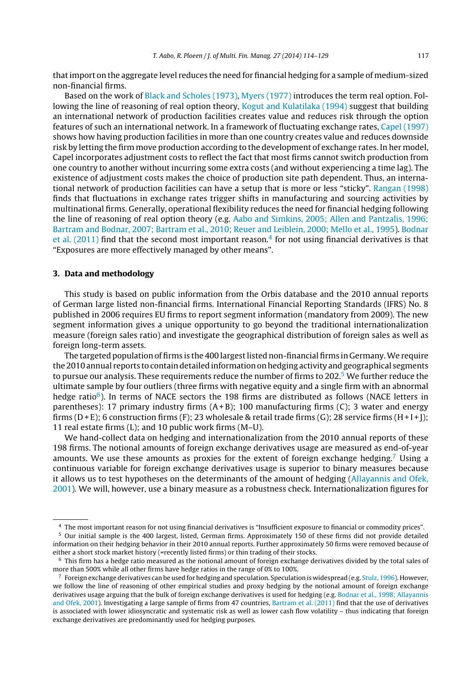<span id="page-3-0"></span>thatimport on the aggregate level reduces the need for financial hedging for a sample of medium-sized non-financial firms.

Based on the work of [Black](#page-14-0) [and](#page-14-0) [Scholes](#page-14-0) [\(1973\),](#page-14-0) [Myers](#page-14-0) [\(1977\)](#page-14-0) introduces the term real option. Following the line of reasoning of real option theory, [Kogut](#page-14-0) [and](#page-14-0) [Kulatilaka](#page-14-0) [\(1994\)](#page-14-0) suggest that building an international network of production facilities creates value and reduces risk through the option features of such an international network. In a framework of fluctuating exchange rates, [Capel](#page-14-0) [\(1997\)](#page-14-0) shows how having production facilities in more than one country creates value and reduces downside risk by letting the firm move production according to the development of exchange rates. In her model, Capel incorporates adjustment costs to reflect the fact that most firms cannot switch production from one country to another without incurring some extra costs (and without experiencing a time lag). The existence of adjustment costs makes the choice of production site path dependent. Thus, an international network of production facilities can have a setup that is more or less "sticky". [Rangan](#page-15-0) [\(1998\)](#page-15-0) finds that fluctuations in exchange rates trigger shifts in manufacturing and sourcing activities by multinational firms. Generally, operational flexibility reduces the need for financial hedging following the line of reasoning of real option theory (e.g. [Aabo](#page-13-0) [and](#page-13-0) [Simkins,](#page-13-0) [2005;](#page-13-0) [Allen](#page-13-0) [and](#page-13-0) [Pantzalis,](#page-13-0) [1996;](#page-13-0) [Bartram](#page-13-0) [and](#page-13-0) [Bodnar,](#page-13-0) [2007;](#page-13-0) [Bartram](#page-13-0) et [al.,](#page-13-0) [2010;](#page-13-0) [Reuer](#page-13-0) [and](#page-13-0) [Leiblein,](#page-13-0) [2000;](#page-13-0) [Mello](#page-13-0) et [al.,](#page-13-0) [1995\).](#page-13-0) [Bodnar](#page-14-0) et [al.](#page-14-0)  $(2011)$  find that the second most important reason.<sup>4</sup> for not using financial derivatives is that "Exposures are more effectively managed by other means".

#### **3. Data and methodology**

This study is based on public information from the Orbis database and the 2010 annual reports of German large listed non-financial firms. International Financial Reporting Standards (IFRS) No. 8 published in 2006 requires EU firms to report segment information (mandatory from 2009). The new segment information gives a unique opportunity to go beyond the traditional internationalization measure (foreign sales ratio) and investigate the geographical distribution of foreign sales as well as foreign long-term assets.

The targeted population of firms is the 400 largest listed non-financial firms in Germany. We require the 2010 annual reports to contain detailed information on hedging activity and geographical segments to pursue our analysis. These requirements reduce the number of firms to 202.<sup>5</sup> We further reduce the ultimate sample by four outliers (three firms with negative equity and a single firm with an abnormal hedge ratio $6$ ). In terms of NACE sectors the 198 firms are distributed as follows (NACE letters in parentheses): 17 primary industry firms  $(A+B)$ ; 100 manufacturing firms  $(C)$ ; 3 water and energy firms (D+E); 6 construction firms (F); 23 wholesale & retail trade firms (G); 28 service firms (H+I+I); 11 real estate firms (L); and 10 public work firms (M–U).

We hand-collect data on hedging and internationalization from the 2010 annual reports of these 198 firms. The notional amounts of foreign exchange derivatives usage are measured as end-of-year amounts. We use these amounts as proxies for the extent of foreign exchange hedging.<sup>7</sup> Using a continuous variable for foreign exchange derivatives usage is superior to binary measures because it allows us to test hypotheses on the determinants of the amount of hedging [\(Allayannis](#page-14-0) [and](#page-14-0) [Ofek,](#page-14-0) [2001\).](#page-14-0) We will, however, use a binary measure as a robustness check. Internationalization figures for

<sup>4</sup> The most important reason for not using financial derivatives is "Insufficient exposure to financial or commodity prices".

<sup>5</sup> Our initial sample is the 400 largest, listed, German firms. Approximately 150 of these firms did not provide detailed information on their hedging behavior in their 2010 annual reports. Further approximately 50 firms were removed because of either a short stock market history (=recently listed firms) or thin trading of their stocks.

 $6$  This firm has a hedge ratio measured as the notional amount of foreign exchange derivatives divided by the total sales of more than 500% while all other firms have hedge ratios in the range of 0% to 100%.

 $^7$  Foreign exchange derivatives can be used for hedging and speculation. Speculation is widespread (e.g. [Stulz,](#page-15-0) [1996\).](#page-15-0) However, we follow the line of reasoning of other empirical studies and proxy hedging by the notional amount of foreign exchange derivatives usage arguing that the bulk of foreign exchange derivatives is used for hedging (e.g. [Bodnar](#page-14-0) et [al.,](#page-14-0) [1998;](#page-14-0) [Allayannis](#page-14-0) [and](#page-14-0) [Ofek,](#page-14-0) [2001\).](#page-14-0) Investigating a large sample of firms from 47 countries, [Bartram](#page-14-0) et [al.](#page-14-0) [\(2011\)](#page-14-0) find that the use of derivatives is associated with lower idiosyncratic and systematic risk as well as lower cash flow volatility – thus indicating that foreign exchange derivatives are predominantly used for hedging purposes.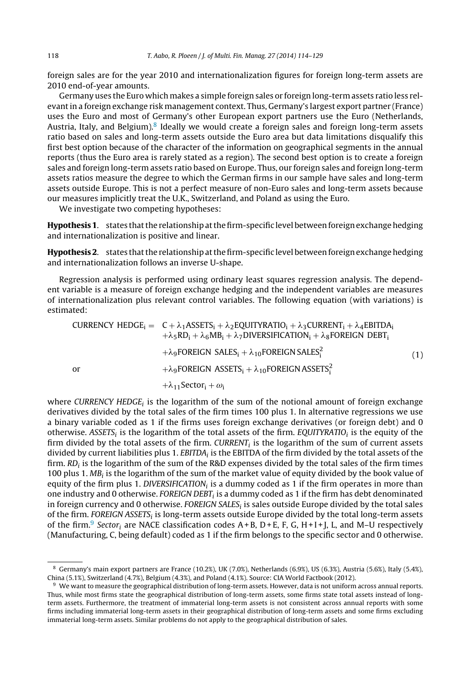foreign sales are for the year 2010 and internationalization figures for foreign long-term assets are 2010 end-of-year amounts.

Germany uses the Euro which makes a simple foreign sales or foreign long-term assets ratio less relevantin a foreign exchange risk management context. Thus, Germany's largest export partner (France) uses the Euro and most of Germany's other European export partners use the Euro (Netherlands, Austria, Italy, and Belgium).<sup>8</sup> Ideally we would create a foreign sales and foreign long-term assets ratio based on sales and long-term assets outside the Euro area but data limitations disqualify this first best option because of the character of the information on geographical segments in the annual reports (thus the Euro area is rarely stated as a region). The second best option is to create a foreign sales and foreign long-term assets ratio based on Europe. Thus, our foreign sales and foreign long-term assets ratios measure the degree to which the German firms in our sample have sales and long-term assets outside Europe. This is not a perfect measure of non-Euro sales and long-term assets because our measures implicitly treat the U.K., Switzerland, and Poland as using the Euro.

We investigate two competing hypotheses:

Hypothesis 1. states that the relationship at the firm-specific level between foreign exchange hedging and internationalization is positive and linear.

Hypothesis 2. states that the relationship at the firm-specific level between foreign exchange hedging and internationalization follows an inverse U-shape.

Regression analysis is performed using ordinary least squares regression analysis. The dependent variable is a measure of foreign exchange hedging and the independent variables are measures of internationalization plus relevant control variables. The following equation (with variations) is estimated:

\n
$$
\text{CURRENCY HEDGE}_i = C + \lambda_1 \text{ASSETS}_i + \lambda_2 \text{EQUITYRATIO}_i + \lambda_3 \text{CURRENT}_i + \lambda_4 \text{EBITDA}_i + \lambda_5 \text{RD}_i + \lambda_6 \text{MB}_i + \lambda_7 \text{DIVERSIFICATION}_i + \lambda_8 \text{FOREIGN DEBT}_i + \lambda_9 \text{FOREIGN SALES}_i + \lambda_{10} \text{FOREIGN SALES}_i^2 + \lambda_{9} \text{FOREIGN ASSETS}_i + \lambda_{10} \text{FOREIGN ASSETS}_i^2 + \lambda_{11} \text{Sector}_i + \omega_i
$$
\n

\n\n (1)\n

where CURRENCY HEDGE; is the logarithm of the sum of the notional amount of foreign exchange derivatives divided by the total sales of the firm times 100 plus 1. In alternative regressions we use a binary variable coded as 1 if the firms uses foreign exchange derivatives (or foreign debt) and 0 otherwise. ASSETS<sub>i</sub> is the logarithm of the total assets of the firm. EQUITYRATIO<sub>i</sub> is the equity of the firm divided by the total assets of the firm. CURRENT $_i$  is the logarithm of the sum of current assets divided by current liabilities plus 1. EBITDA<sub>i</sub> is the EBITDA of the firm divided by the total assets of the firm.  $RD_i$  is the logarithm of the sum of the R&D expenses divided by the total sales of the firm times 100 plus 1.  $MB_i$  is the logarithm of the sum of the market value of equity divided by the book value of equity of the firm plus 1. DIVERSIFICATION<sub>i</sub> is a dummy coded as 1 if the firm operates in more than one industry and 0 otherwise. FOREIGN DEBT<sub>i</sub> is a dummy coded as 1 if the firm has debt denominated in foreign currency and 0 otherwise. FOREIGN SALES $_i$  is sales outside Europe divided by the total sales of the firm. FOREIGN ASSETS<sub>i</sub> is long-term assets outside Europe divided by the total long-term assets of the firm.<sup>9</sup> Sector<sub>i</sub> are NACE classification codes  $A + B$ ,  $D + E$ , F, G, H + I + J, L, and M–U respectively (Manufacturing, C, being default) coded as 1 if the firm belongs to the specific sector and 0 otherwise.

<sup>8</sup> Germany's main export partners are France (10.2%), UK (7.0%), Netherlands (6.9%), US (6.3%), Austria (5.6%), Italy (5.4%), China (5.1%), Switzerland (4.7%), Belgium (4.3%), and Poland (4.1%). Source: CIA World Factbook (2012).

<sup>9</sup> We want to measure the geographical distribution of long-term assets. However, data is not uniform across annual reports. Thus, while most firms state the geographical distribution of long-term assets, some firms state total assets instead of longterm assets. Furthermore, the treatment of immaterial long-term assets is not consistent across annual reports with some firms including immaterial long-term assets in their geographical distribution of long-term assets and some firms excluding immaterial long-term assets. Similar problems do not apply to the geographical distribution of sales.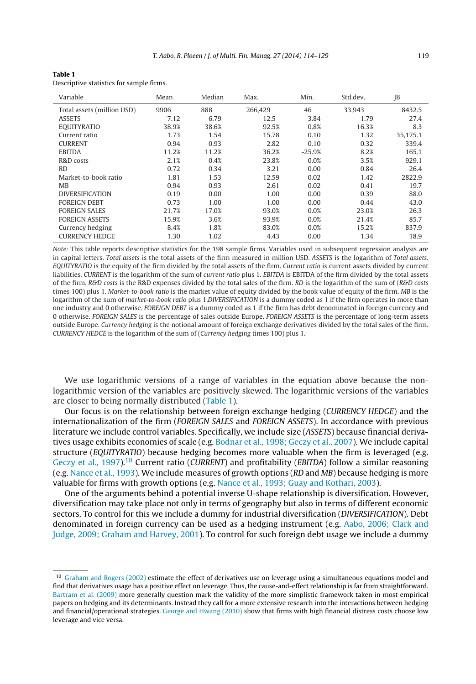<span id="page-5-0"></span>

| <b>Table 1</b>                           |
|------------------------------------------|
| Descriptive statistics for sample firms. |

| Variable                   | Mean  | Median | Max.    | Min.     | Std.dev. | JB       |
|----------------------------|-------|--------|---------|----------|----------|----------|
| Total assets (million USD) | 9906  | 888    | 266.429 | 46       | 33.943   | 8432.5   |
| <b>ASSETS</b>              | 7.12  | 6.79   | 12.5    | 3.84     | 1.79     | 27.4     |
| <b>EQUITYRATIO</b>         | 38.9% | 38.6%  | 92.5%   | 0.8%     | 16.3%    | 8.3      |
| Current ratio              | 1.73  | 1.54   | 15.78   | 0.10     | 1.32     | 35.175.1 |
| <b>CURRENT</b>             | 0.94  | 0.93   | 2.82    | 0.10     | 0.32     | 339.4    |
| <b>EBITDA</b>              | 11.2% | 11.2%  | 36.2%   | $-25.9%$ | 8.2%     | 165.1    |
| R&D costs                  | 2.1%  | 0.4%   | 23.8%   | 0.0%     | 3.5%     | 929.1    |
| <b>RD</b>                  | 0.72  | 0.34   | 3.21    | 0.00     | 0.84     | 26.4     |
| Market-to-book ratio       | 1.81  | 1.53   | 12.59   | 0.02     | 1.42     | 2822.9   |
| MB                         | 0.94  | 0.93   | 2.61    | 0.02     | 0.41     | 19.7     |
| <b>DIVERSIFICATION</b>     | 0.19  | 0.00   | 1.00    | 0.00     | 0.39     | 88.0     |
| <b>FOREIGN DEBT</b>        | 0.73  | 1.00   | 1.00    | 0.00     | 0.44     | 43.0     |
| <b>FOREIGN SALES</b>       | 21.7% | 17.0%  | 93.0%   | 0.0%     | 23.0%    | 26.3     |
| <b>FOREIGN ASSETS</b>      | 15.9% | 3.6%   | 93.9%   | 0.0%     | 21.4%    | 85.7     |
| Currency hedging           | 8.4%  | 1.8%   | 83.0%   | 0.0%     | 15.2%    | 837.9    |
| <b>CURRENCY HEDGE</b>      | 1.30  | 1.02   | 4.43    | 0.00     | 1.34     | 18.9     |

Note: This table reports descriptive statistics for the 198 sample firms. Variables used in subsequent regression analysis are in capital letters. Total assets is the total assets of the firm measured in million USD. ASSETS is the logarithm of Total assets. EQUITYRATIO is the equity of the firm divided by the total assets of the firm. Current ratio is current assets divided by current liabilities. CURRENT is the logarithm of the sum of current ratio plus 1. EBITDA is EBITDA of the firm divided by the total assets of the firm. R&D costs is the R&D expenses divided by the total sales of the firm. RD is the logarithm of the sum of (R&D costs times 100) plus 1. Market-to-book ratio is the market value of equity divided by the book value of equity of the firm. MB is the logarithm of the sum of market-to-book ratio plus 1.DIVERSIFICATION is a dummy coded as 1 if the firm operates in more than one industry and 0 otherwise. FOREIGN DEBT is a dummy coded as 1 if the firm has debt denominated in foreign currency and 0 otherwise. FOREIGN SALES is the percentage of sales outside Europe. FOREIGN ASSETS is the percentage of long-term assets outside Europe. Currency hedging is the notional amount of foreign exchange derivatives divided by the total sales of the firm. CURRENCY HEDGE is the logarithm of the sum of (Currency hedging times 100) plus 1.

We use logarithmic versions of a range of variables in the equation above because the nonlogarithmic version of the variables are positively skewed. The logarithmic versions of the variables are closer to being normally distributed (Table 1).

Our focus is on the relationship between foreign exchange hedging (CURRENCY HEDGE) and the internationalization of the firm (FOREIGN SALES and FOREIGN ASSETS). In accordance with previous literature we include control variables. Specifically, we include size (ASSETS) because financial derivatives usage exhibits economies of scale (e.g. [Bodnar](#page-14-0) et [al.,](#page-14-0) [1998;](#page-14-0) [Geczy](#page-14-0) et [al.,](#page-14-0) [2007\).](#page-14-0) We include capital structure (EQUITYRATIO) because hedging becomes more valuable when the firm is leveraged (e.g. [Geczy](#page-14-0) et [al.,](#page-14-0) 1997).<sup>10</sup> Current ratio (CURRENT) and profitability (EBITDA) follow a similar reasoning (e.g. [Nance](#page-14-0) et [al.,](#page-14-0) [1993\).](#page-14-0) We include measures of growth options (RD and MB) because hedging is more valuable for firms with growth options (e.g. [Nance](#page-14-0) et [al.,](#page-14-0) [1993;](#page-14-0) [Guay](#page-14-0) [and](#page-14-0) [Kothari,](#page-14-0) [2003\).](#page-14-0)

One of the arguments behind a potential inverse U-shape relationship is diversification. However, diversification may take place not only in terms of geography but also in terms of different economic sectors. To control for this we include a dummy for industrial diversification (DIVERSIFICATION). Debt denominated in foreign currency can be used as a hedging instrument (e.g. [Aabo,](#page-13-0) [2006;](#page-13-0) [Clark](#page-13-0) [and](#page-13-0) [Judge,](#page-13-0) [2009;](#page-13-0) [Graham](#page-13-0) [and](#page-13-0) [Harvey,](#page-13-0) [2001\).](#page-13-0) To control for such foreign debt usage we include a dummy

<sup>&</sup>lt;sup>10</sup> [Graham](#page-14-0) [and](#page-14-0) [Rogers](#page-14-0) [\(2002\)](#page-14-0) estimate the effect of derivatives use on leverage using a simultaneous equations model and find that derivatives usage has a positive effect on leverage. Thus, the cause-and-effect relationship is far from straightforward. [Bartram](#page-14-0) et [al.](#page-14-0) [\(2009\)](#page-14-0) more generally question mark the validity of the more simplistic framework taken in most empirical papers on hedging and its determinants. Instead they call for a more extensive research into the interactions between hedging and financial/operational strategies. [George](#page-14-0) [and](#page-14-0) [Hwang](#page-14-0) [\(2010\)](#page-14-0) show that firms with high financial distress costs choose low leverage and vice versa.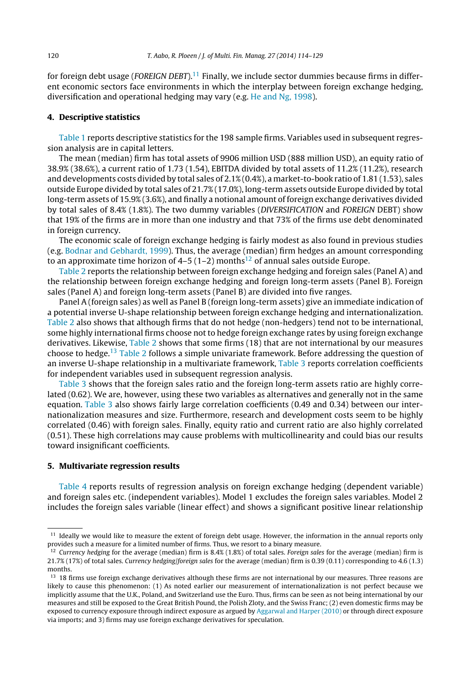<span id="page-6-0"></span>for foreign debt usage (*FOREIGN DEBT*).<sup>11</sup> Finally, we include sector dummies because firms in different economic sectors face environments in which the interplay between foreign exchange hedging, diversification and operational hedging may vary (e.g. [He](#page-14-0) [and](#page-14-0) [Ng,](#page-14-0) [1998\).](#page-14-0)

#### **4. Descriptive statistics**

[Table](#page-5-0) 1 reports descriptive statistics for the 198 sample firms. Variables used in subsequent regression analysis are in capital letters.

The mean (median) firm has total assets of 9906 million USD (888 million USD), an equity ratio of 38.9% (38.6%), a current ratio of 1.73 (1.54), EBITDA divided by total assets of 11.2% (11.2%), research and developments costs divided by total sales of 2.1% (0.4%), a market-to-book ratio of 1.81 (1.53), sales outside Europe divided by total sales of 21.7% (17.0%), long-term assets outside Europe divided by total long-term assets of 15.9% (3.6%), and finally a notional amount of foreign exchange derivatives divided by total sales of 8.4% (1.8%). The two dummy variables (DIVERSIFICATION and FOREIGN DEBT) show that 19% of the firms are in more than one industry and that 73% of the firms use debt denominated in foreign currency.

The economic scale of foreign exchange hedging is fairly modest as also found in previous studies (e.g. [Bodnar](#page-14-0) [and](#page-14-0) [Gebhardt,](#page-14-0) [1999\).](#page-14-0) Thus, the average (median) firm hedges an amount corresponding to an approximate time horizon of  $4-5$  (1-2) months<sup>12</sup> of annual sales outside Europe.

[Table](#page-7-0) 2 reports the relationship between foreign exchange hedging and foreign sales (Panel A) and the relationship between foreign exchange hedging and foreign long-term assets (Panel B). Foreign sales (Panel A) and foreign long-term assets (Panel B) are divided into five ranges.

Panel A (foreign sales) as well as Panel B (foreign long-term assets) give an immediate indication of a potential inverse U-shape relationship between foreign exchange hedging and internationalization. [Table](#page-7-0) 2 also shows that although firms that do not hedge (non-hedgers) tend not to be international, some highly international firms choose not to hedge foreign exchange rates by using foreign exchange derivatives. Likewise, [Table](#page-7-0) 2 shows that some firms (18) that are not international by our measures choose to hedge.<sup>13</sup> [Table](#page-7-0) 2 follows a simple univariate framework. Before addressing the question of an inverse U-shape relationship in a multivariate framework, [Table](#page-7-0) 3 reports correlation coefficients for independent variables used in subsequent regression analysis.

[Table](#page-7-0) 3 shows that the foreign sales ratio and the foreign long-term assets ratio are highly correlated (0.62). We are, however, using these two variables as alternatives and generally not in the same equation. [Table](#page-7-0) 3 also shows fairly large correlation coefficients (0.49 and 0.34) between our internationalization measures and size. Furthermore, research and development costs seem to be highly correlated (0.46) with foreign sales. Finally, equity ratio and current ratio are also highly correlated (0.51). These high correlations may cause problems with multicollinearity and could bias our results toward insignificant coefficients.

#### **5. Multivariate regression results**

[Table](#page-8-0) 4 reports results of regression analysis on foreign exchange hedging (dependent variable) and foreign sales etc. (independent variables). Model 1 excludes the foreign sales variables. Model 2 includes the foreign sales variable (linear effect) and shows a significant positive linear relationship

<sup>&</sup>lt;sup>11</sup> Ideally we would like to measure the extent of foreign debt usage. However, the information in the annual reports only provides such a measure for a limited number of firms. Thus, we resort to a binary measure.

<sup>&</sup>lt;sup>12</sup> Currency hedging for the average (median) firm is 8.4% (1.8%) of total sales. Foreign sales for the average (median) firm is 21.7% (17%) of total sales. Currency hedging/foreign sales for the average (median) firm is 0.39 (0.11) corresponding to 4.6 (1.3) months.

<sup>&</sup>lt;sup>13</sup> 18 firms use foreign exchange derivatives although these firms are not international by our measures. Three reasons are likely to cause this phenomenon: (1) As noted earlier our measurement of internationalization is not perfect because we implicitly assume that the U.K., Poland, and Switzerland use the Euro. Thus, firms can be seen as not being international by our measures and still be exposed to the Great British Pound, the Polish Zloty, and the Swiss Franc; (2) even domestic firms may be exposed to currency exposure through indirect exposure as argued by [Aggarwal](#page-13-0) [and](#page-13-0) [Harper](#page-13-0) [\(2010\)](#page-13-0) or through direct exposure via imports; and 3) firms may use foreign exchange derivatives for speculation.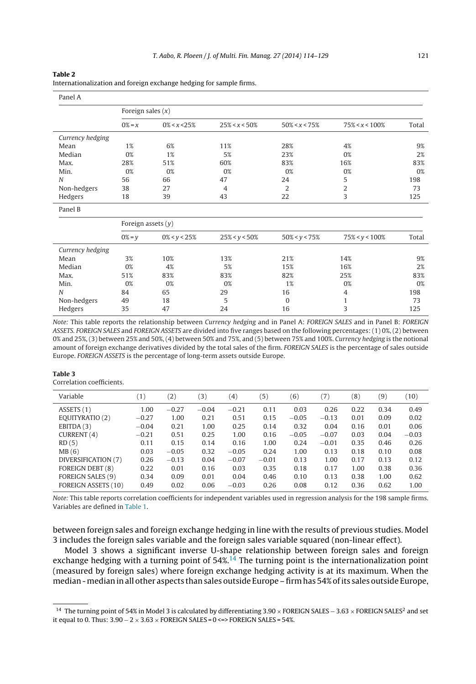#### <span id="page-7-0"></span>**Table 2**

| Internationalization and foreign exchange hedging for sample firms. |  |  |  |  |  |  |  |  |  |
|---------------------------------------------------------------------|--|--|--|--|--|--|--|--|--|
|---------------------------------------------------------------------|--|--|--|--|--|--|--|--|--|

| Panel A          |                      |                  |                   |                   |                    |       |
|------------------|----------------------|------------------|-------------------|-------------------|--------------------|-------|
|                  | Foreign sales $(x)$  |                  |                   |                   |                    |       |
|                  | $0\% = x$            | $0\% < x < 25\%$ | $25\% < x < 50\%$ | $50\% < x < 75\%$ | $75\% < x < 100\%$ | Total |
| Currency hedging |                      |                  |                   |                   |                    |       |
| Mean             | 1%                   | 6%               | 11%               | 28%               | 4%                 | 9%    |
| Median           | 0%                   | 1%               | 5%                | 23%               | 0%                 | 2%    |
| Max.             | 28%                  | 51%              | 60%               | 83%               | 16%                | 83%   |
| Min.             | 0%                   | 0%               | 0%                | 0%                | 0%                 | 0%    |
| $\overline{N}$   | 56                   | 66               | 47                | 24                | 5                  | 198   |
| Non-hedgers      | 38                   | 27               | $\overline{4}$    | 2                 | $\overline{2}$     | 73    |
| Hedgers          | 18                   | 39               | 43                | 22                | 3                  | 125   |
| Panel B          |                      |                  |                   |                   |                    |       |
|                  | Foreign assets $(y)$ |                  |                   |                   |                    |       |
|                  | $0\% = y$            | $0\% < y < 25\%$ | $25\% < y < 50\%$ | $50\% < y < 75\%$ | $75\% < y < 100\%$ | Total |
| Currency hedging |                      |                  |                   |                   |                    |       |
| Mean             | 3%                   | 10%              | 13%               | 21%               | 14%                | 9%    |
| Median           | 0%                   | 4%               | 5%                | 15%               | 16%                | 2%    |
| Max.             | 51%                  | 83%              | 83%               | 82%               | 25%                | 83%   |
| Min.             | 0%                   | 0%               | 0%                | 1%                | 0%                 | 0%    |
| N                | 84                   | 65               | 29                | 16                | 4                  | 198   |
| Non-hedgers      | 49                   | 18               | 5                 | $\Omega$          | $\mathbf{1}$       | 73    |
| Hedgers          | 35                   | 47               | 24                | 16                | 3                  | 125   |

Note: This table reports the relationship between Currency hedging and in Panel A: FOREIGN SALES and in Panel B: FOREIGN ASSETS. FOREIGN SALES and FOREIGN ASSETS are divided into five ranges based on the following percentages: (1) 0%, (2) between 0% and 25%, (3) between 25% and 50%, (4) between 50% and 75%, and (5) between 75% and 100%. Currency hedging is the notional amount of foreign exchange derivatives divided by the total sales of the firm. FOREIGN SALES is the percentage of sales outside Europe. FOREIGN ASSETS is the percentage of long-term assets outside Europe.

#### **Table 3**

Correlation coefficients.

| Variable                   | (1)     | (2)     | (3)     | $\scriptstyle{(4)}$ | (5)     | (6)     | 7)      | (8)  | (9)  | (10)    |
|----------------------------|---------|---------|---------|---------------------|---------|---------|---------|------|------|---------|
| ASSETS (1)                 | 1.00    | $-0.27$ | $-0.04$ | $-0.21$             | 0.11    | 0.03    | 0.26    | 0.22 | 0.34 | 0.49    |
| EQUITYRATIO (2)            | $-0.27$ | 1.00    | 0.21    | 0.51                | 0.15    | $-0.05$ | $-0.13$ | 0.01 | 0.09 | 0.02    |
| EBITDA(3)                  | $-0.04$ | 0.21    | 1.00    | 0.25                | 0.14    | 0.32    | 0.04    | 0.16 | 0.01 | 0.06    |
| CURRENT (4)                | $-0.21$ | 0.51    | 0.25    | 1.00                | 0.16    | $-0.05$ | $-0.07$ | 0.03 | 0.04 | $-0.03$ |
| RD(5)                      | 0.11    | 0.15    | 0.14    | 0.16                | 1.00    | 0.24    | $-0.01$ | 0.35 | 0.46 | 0.26    |
| MB(6)                      | 0.03    | $-0.05$ | 0.32    | $-0.05$             | 0.24    | 1.00    | 0.13    | 0.18 | 0.10 | 0.08    |
| DIVERSIFICATION (7)        | 0.26    | $-0.13$ | 0.04    | $-0.07$             | $-0.01$ | 0.13    | 1.00    | 0.17 | 0.13 | 0.12    |
| <b>FOREIGN DEBT (8)</b>    | 0.22    | 0.01    | 0.16    | 0.03                | 0.35    | 0.18    | 0.17    | 1.00 | 0.38 | 0.36    |
| <b>FOREIGN SALES (9)</b>   | 0.34    | 0.09    | 0.01    | 0.04                | 0.46    | 0.10    | 0.13    | 0.38 | 1.00 | 0.62    |
| <b>FOREIGN ASSETS (10)</b> | 0.49    | 0.02    | 0.06    | $-0.03$             | 0.26    | 0.08    | 0.12    | 0.36 | 0.62 | 1.00    |

Note: This table reports correlation coefficients for independent variables used in regression analysis for the 198 sample firms. Variables are defined in [Table](#page-5-0) [1.](#page-5-0)

between foreign sales and foreign exchange hedging in line with the results of previous studies. Model 3 includes the foreign sales variable and the foreign sales variable squared (non-linear effect).

Model 3 shows a significant inverse U-shape relationship between foreign sales and foreign exchange hedging with a turning point of  $54\%$ <sup>14</sup> The turning point is the internationalization point (measured by foreign sales) where foreign exchange hedging activity is at its maximum. When the median - median in all other aspects than sales outside Europe – firm has 54% of its sales outside Europe,

<sup>&</sup>lt;sup>14</sup> The turning point of 54% in Model 3 is calculated by differentiating 3.90 × FOREIGN SALES – 3.63 × FOREIGN SALES<sup>2</sup> and set it equal to 0. Thus:  $3.90 - 2 \times 3.63 \times$  FOREIGN SALES = 0 <=> FOREIGN SALES = 54%.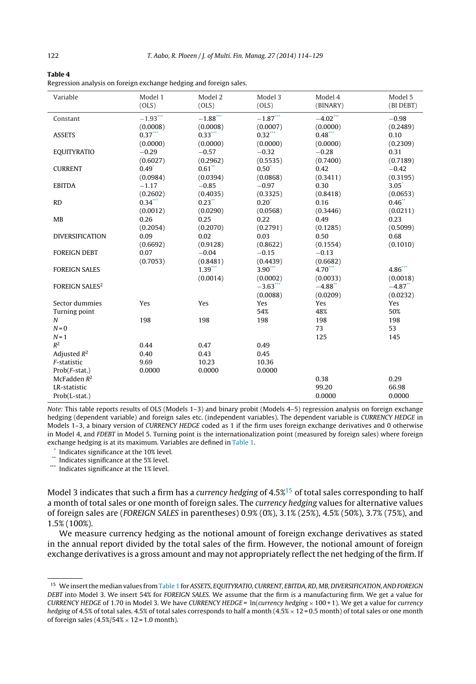<span id="page-8-0"></span>

| Table 4                                                            |  |
|--------------------------------------------------------------------|--|
| Regression analysis on foreign exchange hedging and foreign sales. |  |

| Variable               | Model 1<br>(OLS) | Model 2<br>(OLS)     | Model 3<br>(OLS) | Model 4<br>(BINARY) | Model 5<br>(BI DEBT)  |
|------------------------|------------------|----------------------|------------------|---------------------|-----------------------|
|                        |                  |                      |                  |                     |                       |
| Constant               | $-1.93***$       | $-1.88***$           | $-1.87***$       | $-4.02$ ***         | $-0.98$               |
|                        | (0.0008)         | (0.0008)             | (0.0007)         | (0.0000)            | (0.2489)              |
| <b>ASSETS</b>          | $0.37***$        | $0.33***$            | $0.32***$        | $0.48***$           | 0.10                  |
|                        | (0.0000)         | (0.0000)             | (0.0000)         | (0.0000)            | (0.2309)              |
| <b>EQUITYRATIO</b>     | $-0.29$          | $-0.57$              | $-0.32$          | $-0.28$             | 0.31                  |
|                        | (0.6027)         | (0.2962)             | (0.5535)         | (0.7400)            | (0.7189)              |
| <b>CURRENT</b>         | $0.49^*$         | $0.61**$             | $0.50^*$         | 0.42                | $-0.42$               |
|                        | (0.0984)         | (0.0394)             | (0.0868)         | (0.3411)            | (0.3195)              |
| <b>EBITDA</b>          | $-1.17$          | $-0.85$              | $-0.97$          | 0.30                | $3.05^*$              |
|                        | (0.2602)         | (0.4035)             | (0.3325)         | (0.8418)            | (0.0653)              |
| <b>RD</b>              | $0.34***$        | $0.23$ <sup>**</sup> | $0.20^{\degree}$ | 0.16                | $0.46$ **             |
|                        | (0.0012)         | (0.0290)             | (0.0568)         | (0.3446)            | (0.0211)              |
| <b>MB</b>              | 0.26             | 0.25                 | 0.22             | 0.49                | 0.23                  |
|                        | (0.2054)         | (0.2070)             | (0.2791)         | (0.1285)            | (0.5099)              |
| <b>DIVERSIFICATION</b> | 0.09             | 0.02                 | 0.03             | 0.50                | 0.68                  |
|                        | (0.6692)         | (0.9128)             | (0.8622)         | (0.1554)            | (0.1010)              |
| <b>FOREIGN DEBT</b>    | 0.07             | $-0.04$              | $-0.15$          | $-0.13$             |                       |
|                        | (0.7053)         | (0.8481)             | (0.4439)         | (0.6682)            |                       |
| <b>FOREIGN SALES</b>   |                  | $1.39***$            | $3.90***$        | $4.70***$           | $4.86***$             |
|                        |                  | (0.0014)             | (0.0002)         | (0.0033)            | (0.0018)              |
| <b>FOREIGN SALES2</b>  |                  |                      | $-3.63***$       | $-4.88$             | $-4.87$ <sup>**</sup> |
|                        |                  |                      | (0.0088)         | (0.0209)            | (0.0232)              |
| Sector dummies         | Yes              | Yes                  | Yes              | Yes                 | Yes                   |
| Turning point          |                  |                      | 54%              | 48%                 | 50%                   |
| $\boldsymbol{N}$       | 198              | 198                  | 198              | 198                 | 198                   |
| $N = 0$                |                  |                      |                  | 73                  | 53                    |
| $N = 1$                |                  |                      |                  | 125                 | 145                   |
| $R^2$                  | 0.44             | 0.47                 | 0.49             |                     |                       |
| Adjusted $R^2$         | 0.40             | 0.43                 | 0.45             |                     |                       |
| F-statistic            | 9.69             | 10.23                | 10.36            |                     |                       |
| $Prob(F-stat.)$        | 0.0000           | 0.0000               | 0.0000           |                     |                       |
| McFadden $R^2$         |                  |                      |                  | 0.38                | 0.29                  |
| LR-statistic           |                  |                      |                  | 99.20               | 66.98                 |
| Prob(L-stat.)          |                  |                      |                  | 0.0000              | 0.0000                |

Note: This table reports results of OLS (Models 1–3) and binary probit (Models 4–5) regression analysis on foreign exchange hedging (dependent variable) and foreign sales etc. (independent variables). The dependent variable is CURRENCY HEDGE in Models 1–3, a binary version of CURRENCY HEDGE coded as 1 if the firm uses foreign exchange derivatives and 0 otherwise in Model 4, and FDEBT in Model 5. Turning point is the internationalization point (measured by foreign sales) where foreign exchange hedging is at its maximum. Variables are defined in [Table](#page-5-0) 1.

\* Indicates significance at the 10% level.

\*\* Indicates significance at the 5% level.

\*\*\* Indicates significance at the 1% level.

Model 3 indicates that such a firm has a currency hedging of  $4.5\%$ <sup>15</sup> of total sales corresponding to half a month of total sales or one month of foreign sales. The *currency hedging values for alternative values* of foreign sales are (FOREIGN SALES in parentheses) 0.9% (0%), 3.1% (25%), 4.5% (50%), 3.7% (75%), and 1.5% (100%).

We measure currency hedging as the notional amount of foreign exchange derivatives as stated in the annual report divided by the total sales of the firm. However, the notional amount of foreign exchange derivatives is a gross amount and may not appropriately reflect the net hedging of the firm. If

<sup>&</sup>lt;sup>15</sup> We insert the median values from [Table](#page-5-0) 1 for ASSETS, EQUITYRATIO, CURRENT, EBITDA, RD, MB, DIVERSIFICATION, AND FOREIGN DEBT into Model 3. We insert 54% for FOREIGN SALES. We assume that the firm is a manufacturing firm. We get a value for CURRENCY HEDGE of 1.70 in Model 3. We have CURRENCY HEDGE =  $ln(currency hedging \times 100 + 1)$ . We get a value for currency hedging of 4.5% of total sales. 4.5% of total sales corresponds to half a month  $(4.5\% \times 12 = 0.5$  month) of total sales or one month of foreign sales  $(4.5\%/54\% \times 12 = 1.0$  month).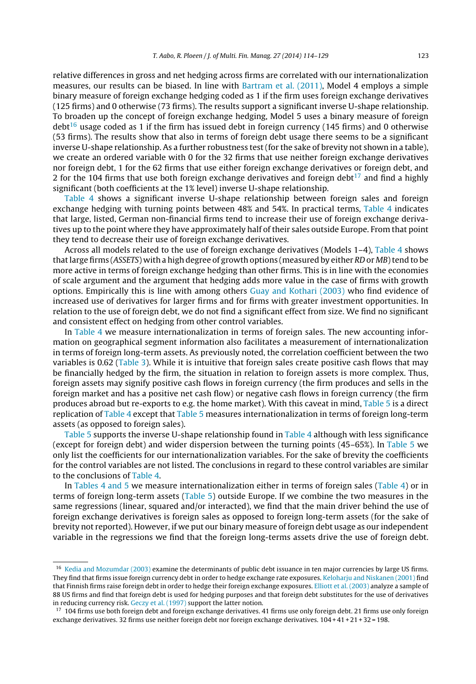relative differences in gross and net hedging across firms are correlated with our internationalization measures, our results can be biased. In line with [Bartram](#page-14-0) et [al.](#page-14-0) [\(2011\),](#page-14-0) Model 4 employs a simple binary measure of foreign exchange hedging coded as 1 if the firm uses foreign exchange derivatives (125 firms) and 0 otherwise (73 firms). The results support a significant inverse U-shape relationship. To broaden up the concept of foreign exchange hedging, Model 5 uses a binary measure of foreign debt<sup>16</sup> usage coded as 1 if the firm has issued debt in foreign currency (145 firms) and 0 otherwise (53 firms). The results show that also in terms of foreign debt usage there seems to be a significant inverse U-shape relationship. As a further robustness test (for the sake of brevity not shown in a table), we create an ordered variable with 0 for the 32 firms that use neither foreign exchange derivatives nor foreign debt, 1 for the 62 firms that use either foreign exchange derivatives or foreign debt, and 2 for the 104 firms that use both foreign exchange derivatives and foreign debt<sup>17</sup> and find a highly significant (both coefficients at the 1% level) inverse U-shape relationship.

[Table](#page-8-0) 4 shows a significant inverse U-shape relationship between foreign sales and foreign exchange hedging with turning points between 48% and 54%. In practical terms, [Table](#page-8-0) 4 indicates that large, listed, German non-financial firms tend to increase their use of foreign exchange derivatives up to the point where they have approximately half of their sales outside Europe. From that point they tend to decrease their use of foreign exchange derivatives.

Across all models related to the use of foreign exchange derivatives (Models 1–4), [Table](#page-8-0) 4 shows that large firms (ASSETS) with a high degree of growth options (measured by either RD or MB) tend to be more active in terms of foreign exchange hedging than other firms. This is in line with the economies of scale argument and the argument that hedging adds more value in the case of firms with growth options. Empirically this is line with among others [Guay](#page-14-0) [and](#page-14-0) [Kothari](#page-14-0) [\(2003\)](#page-14-0) who find evidence of increased use of derivatives for larger firms and for firms with greater investment opportunities. In relation to the use of foreign debt, we do not find a significant effect from size. We find no significant and consistent effect on hedging from other control variables.

In [Table](#page-8-0) 4 we measure internationalization in terms of foreign sales. The new accounting information on geographical segment information also facilitates a measurement of internationalization in terms of foreign long-term assets. As previously noted, the correlation coefficient between the two variables is 0.62 [\(Table](#page-7-0) 3). While it is intuitive that foreign sales create positive cash flows that may be financially hedged by the firm, the situation in relation to foreign assets is more complex. Thus, foreign assets may signify positive cash flows in foreign currency (the firm produces and sells in the foreign market and has a positive net cash flow) or negative cash flows in foreign currency (the firm produces abroad but re-exports to e.g. the home market). With this caveat in mind, [Table](#page-10-0) 5 is a direct replication of [Table](#page-8-0) 4 except that [Table](#page-10-0) 5 measures internationalization in terms of foreign long-term assets (as opposed to foreign sales).

[Table](#page-10-0) 5 supports the inverse U-shape relationship found in [Table](#page-8-0) 4 although with less significance (except for foreign debt) and wider dispersion between the turning points (45–65%). In [Table](#page-10-0) 5 we only list the coefficients for our internationalization variables. For the sake of brevity the coefficients for the control variables are not listed. The conclusions in regard to these control variables are similar to the conclusions of [Table](#page-8-0) 4.

In [Tables](#page-8-0) 4 and 5 we measure internationalization either in terms of foreign sales ([Table](#page-8-0) 4) or in terms of foreign long-term assets ([Table](#page-10-0) 5) outside Europe. If we combine the two measures in the same regressions (linear, squared and/or interacted), we find that the main driver behind the use of foreign exchange derivatives is foreign sales as opposed to foreign long-term assets (for the sake of brevity not reported). However, if we put our binary measure of foreign debt usage as our independent variable in the regressions we find that the foreign long-terms assets drive the use of foreign debt.

<sup>&</sup>lt;sup>16</sup> [Kedia](#page-14-0) [and](#page-14-0) [Mozumdar](#page-14-0) [\(2003\)](#page-14-0) examine the determinants of public debt issuance in ten major currencies by large US firms. They find that firms issue foreign currency debt in order to hedge exchange rate exposures. [Keloharju](#page-14-0) [and](#page-14-0) [Niskanen](#page-14-0) [\(2001\)](#page-14-0) find that Finnish firms raise foreign debt in order to hedge their foreign exchange exposures. [Elliott](#page-14-0) et [al.](#page-14-0) [\(2003\)](#page-14-0) analyze a sample of 88 US firms and find that foreign debt is used for hedging purposes and that foreign debt substitutes for the use of derivatives in reducing currency risk. [Geczy](#page-14-0) et [al.](#page-14-0) [\(1997\)](#page-14-0) support the latter notion.

<sup>&</sup>lt;sup>17</sup> 104 firms use both foreign debt and foreign exchange derivatives. 41 firms use only foreign debt. 21 firms use only foreign exchange derivatives. 32 firms use neither foreign debt nor foreign exchange derivatives. 104 + 41 + 21 + 32 = 198.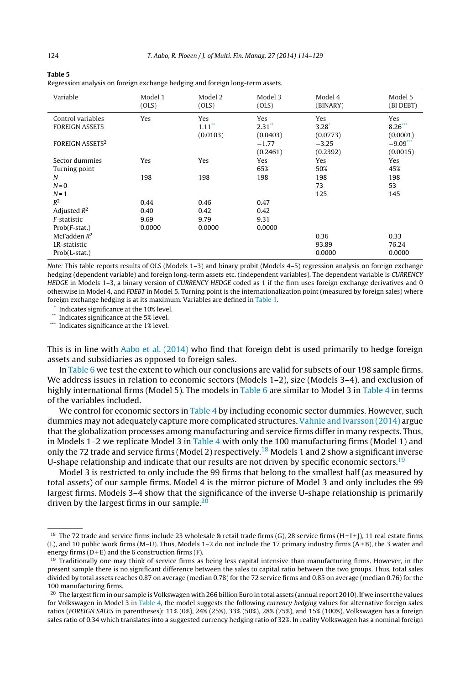<span id="page-10-0"></span>

| Table 5                                                                       |
|-------------------------------------------------------------------------------|
| Regression analysis on foreign exchange hedging and foreign long-term assets. |

| Variable                                   | Model 1<br>(OLS) | Model 2<br>(OLS)                        | Model 3<br>(OLS)                        | Model 4<br>(BINARY)           | Model 5<br>(BI DEBT)         |
|--------------------------------------------|------------------|-----------------------------------------|-----------------------------------------|-------------------------------|------------------------------|
| Control variables<br><b>FOREIGN ASSETS</b> | Yes              | Yes<br>$1.11$ <sup>**</sup><br>(0.0103) | Yes<br>$2.31$ <sup>**</sup><br>(0.0403) | Yes<br>$3.28^{*}$<br>(0.0773) | Yes<br>$8.26***$<br>(0.0001) |
| <b>FOREIGN ASSETS2</b>                     |                  |                                         | $-1.77$<br>(0.2461)                     | $-3.25$<br>(0.2392)           | $-9.09$<br>(0.0015)          |
| Sector dummies<br>Turning point            | Yes              | Yes                                     | Yes<br>65%                              | Yes<br>50%                    | Yes<br>45%                   |
| N<br>$N = 0$                               | 198              | 198                                     | 198                                     | 198<br>73                     | 198<br>53                    |
| $N = 1$<br>$R^2$                           |                  |                                         |                                         | 125                           | 145                          |
| Adjusted $R^2$                             | 0.44<br>0.40     | 0.46<br>0.42                            | 0.47<br>0.42                            |                               |                              |
| F-statistic<br>$Prob(F-stat.)$             | 9.69<br>0.0000   | 9.79<br>0.0000                          | 9.31<br>0.0000                          |                               |                              |
| McFadden $R^2$<br>LR-statistic             |                  |                                         |                                         | 0.36<br>93.89                 | 0.33<br>76.24                |
| Prob(L-stat.)                              |                  |                                         |                                         | 0.0000                        | 0.0000                       |

Note: This table reports results of OLS (Models 1–3) and binary probit (Models 4–5) regression analysis on foreign exchange hedging (dependent variable) and foreign long-term assets etc. (independent variables). The dependent variable is CURRENCY HEDGE in Models 1-3, a binary version of CURRENCY HEDGE coded as 1 if the firm uses foreign exchange derivatives and 0 otherwise in Model 4, and FDEBT in Model 5. Turning point is the internationalization point (measured by foreign sales) where foreign exchange hedging is at its maximum. Variables are defined in [Table](#page-5-0) 1.

Indicates significance at the 10% level.

\*\* Indicates significance at the 5% level.

\*\*\* Indicates significance at the 1% level.

This is in line with [Aabo](#page-13-0) et [al.](#page-13-0) [\(2014\)](#page-13-0) who find that foreign debt is used primarily to hedge foreign assets and subsidiaries as opposed to foreign sales.

In [Table](#page-11-0) 6 we test the extent to which our conclusions are valid for subsets of our 198 sample firms. We address issues in relation to economic sectors (Models 1–2), size (Models 3–4), and exclusion of highly international firms (Model 5). The models in [Table](#page-11-0) 6 are similar to Model 3 in [Table](#page-8-0) 4 in terms of the variables included.

We control for economic sectors in [Table](#page-8-0) 4 by including economic sector dummies. However, such dummies may not adequately capture more complicated structures. [Vahnle](#page-15-0) [and](#page-15-0) [Ivarsson](#page-15-0) [\(2014\)](#page-15-0) argue that the globalization processes among manufacturing and service firms differ in many respects. Thus, in Models 1–2 we replicate Model 3 in [Table](#page-8-0) 4 with only the 100 manufacturing firms (Model 1) and only the 72 trade and service firms (Model 2) respectively.<sup>18</sup> Models 1 and 2 show a significant inverse U-shape relationship and indicate that our results are not driven by specific economic sectors.<sup>19</sup>

Model 3 is restricted to only include the 99 firms that belong to the smallest half (as measured by total assets) of our sample firms. Model 4 is the mirror picture of Model 3 and only includes the 99 largest firms. Models 3–4 show that the significance of the inverse U-shape relationship is primarily driven by the largest firms in our sample.<sup>20</sup>

<sup>&</sup>lt;sup>18</sup> The 72 trade and service firms include 23 wholesale & retail trade firms (G), 28 service firms (H+1+]), 11 real estate firms (L), and 10 public work firms (M–U). Thus, Models 1–2 do not include the 17 primary industry firms (A+ B), the 3 water and energy firms  $(D + E)$  and the 6 construction firms  $(F)$ .

 $19$  Traditionally one may think of service firms as being less capital intensive than manufacturing firms. However, in the present sample there is no significant difference between the sales to capital ratio between the two groups. Thus, total sales divided by total assets reaches 0.87 on average (median 0.78) for the 72 service firms and 0.85 on average (median 0.76) for the 100 manufacturing firms.

 $20$  The largest firm in our sample is Volkswagen with 266 billion Euro in total assets (annual report 2010). If we insert the values for Volkswagen in Model 3 in [Table](#page-8-0) 4, the model suggests the following currency hedging values for alternative foreign sales ratios (FOREIGN SALES in parentheses): 11% (0%), 24% (25%), 33% (50%), 28% (75%), and 15% (100%). Volkswagen has a foreign sales ratio of 0.34 which translates into a suggested currency hedging ratio of 32%. In reality Volkswagen has a nominal foreign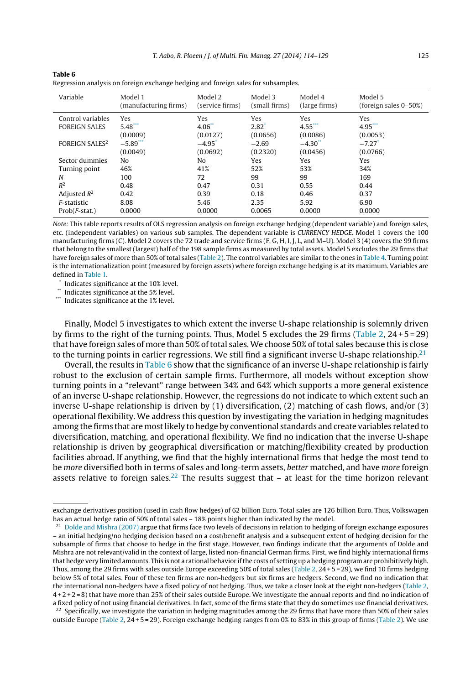| Variable                         | Model 1<br>(manufacturing firms) | Model 2<br>(service firms) | Model 3<br>(small firms) | Model 4<br>(large firms) | Model 5<br>(foreign sales $0-50\%)$ |
|----------------------------------|----------------------------------|----------------------------|--------------------------|--------------------------|-------------------------------------|
| Control variables                | <b>Yes</b>                       | Yes                        | Yes                      | Yes                      | Yes                                 |
| <b>FOREIGN SALES</b>             | $5.48***$                        | 4.06"                      | $2.82^*$                 | $4.55***$                | $4.95***$                           |
|                                  | (0.0009)                         | (0.0127)                   | (0.0656)                 | (0.0086)                 | (0.0053)                            |
| <b>FOREIGN SALES<sup>2</sup></b> | $-5.89$ ***                      | $-4.95$                    | $-2.69$                  | $-4.30$                  | $-7.27$ <sup>*</sup>                |
|                                  | (0.0049)                         | (0.0692)                   | (0.2320)                 | (0.0456)                 | (0.0766)                            |
| Sector dummies                   | No                               | No                         | Yes                      | Yes                      | Yes                                 |
| Turning point                    | 46%                              | 41%                        | 52%                      | 53%                      | 34%                                 |
| N                                | 100                              | 72                         | 99                       | 99                       | 169                                 |
| $R^2$                            | 0.48                             | 0.47                       | 0.31                     | 0.55                     | 0.44                                |
| Adjusted $R^2$                   | 0.42                             | 0.39                       | 0.18                     | 0.46                     | 0.37                                |
| F-statistic                      | 8.08                             | 5.46                       | 2.35                     | 5.92                     | 6.90                                |
| $Prob(F-stat.)$                  | 0.0000                           | 0.0000                     | 0.0065                   | 0.0000                   | 0.0000                              |
|                                  |                                  |                            |                          |                          |                                     |

<span id="page-11-0"></span>**Table 6** Regression analysis on foreign exchange hedging and foreign sales for subsamples.

Note: This table reports results of OLS regression analysis on foreign exchange hedging (dependent variable) and foreign sales, etc. (independent variables) on various sub samples. The dependent variable is CURRENCY HEDGE. Model 1 covers the 100 manufacturing firms (C). Model 2 covers the 72 trade and service firms (F, G, H, I, J, L, and M–U). Model 3 (4) covers the 99 firms that belong to the smallest (largest) half of the 198 sample firms as measured by total assets. Model 5 excludes the 29 firms that have foreign sales of more than 50% of total sales [\(Table](#page-7-0) 2). The control variables are similar to the ones in [Table](#page-8-0) 4. Turning point is the internationalization point (measured by foreign assets) where foreign exchange hedging is at its maximum. Variables are defined in [Table](#page-5-0) 1.

Indicates significance at the 10% level.

\*\* Indicates significance at the 5% level.

\*\*\* Indicates significance at the 1% level.

Finally, Model 5 investigates to which extent the inverse U-shape relationship is solemnly driven by firms to the right of the turning points. Thus, Model 5 excludes the 29 firms [\(Table](#page-7-0) 2,  $24 + 5 = 29$ ) that have foreign sales of more than 50% of total sales. We choose 50% of total sales because this is close to the turning points in earlier regressions. We still find a significant inverse U-shape relationship.<sup>21</sup>

Overall, the results in Table 6 show that the significance of an inverse U-shape relationship is fairly robust to the exclusion of certain sample firms. Furthermore, all models without exception show turning points in a "relevant" range between 34% and 64% which supports a more general existence of an inverse U-shape relationship. However, the regressions do not indicate to which extent such an inverse U-shape relationship is driven by (1) diversification, (2) matching of cash flows, and/or (3) operational flexibility. We address this question by investigating the variation in hedging magnitudes among the firms that are most likely to hedge by conventional standards and create variables related to diversification, matching, and operational flexibility. We find no indication that the inverse U-shape relationship is driven by geographical diversification or matching/flexibility created by production facilities abroad. If anything, we find that the highly international firms that hedge the most tend to be more diversified both in terms of sales and long-term assets, better matched, and have more foreign assets relative to foreign sales.<sup>22</sup> The results suggest that  $-$  at least for the time horizon relevant

exchange derivatives position (used in cash flow hedges) of 62 billion Euro. Total sales are 126 billion Euro. Thus, Volkswagen has an actual hedge ratio of 50% of total sales – 18% points higher than indicated by the model.

<sup>&</sup>lt;sup>21</sup> [Dolde](#page-14-0) [and](#page-14-0) [Mishra](#page-14-0) [\(2007\)](#page-14-0) argue that firms face two levels of decisions in relation to hedging of foreign exchange exposures – an initial hedging/no hedging decision based on a cost/benefit analysis and a subsequent extent of hedging decision for the subsample of firms that choose to hedge in the first stage. However, two findings indicate that the arguments of Dolde and Mishra are not relevant/valid in the context of large, listed non-financial German firms. First, we find highly international firms that hedge very limited amounts. This is not a rational behavior ifthe costs of setting up a hedging program are prohibitively high. Thus, among the 29 firms with sales outside Europe exceeding 50% of total sales [\(Table](#page-7-0) 2, 24+5=29), we find 10 firms hedging below 5% of total sales. Four of these ten firms are non-hedgers but six firms are hedgers. Second, we find no indication that the international non-hedgers have a fixed policy of not hedging. Thus, we take a closer look at the eight non-hedgers ([Table](#page-7-0) 2, 4 + 2 + 2 = 8) that have more than 25% of their sales outside Europe. We investigate the annual reports and find no indication of a fixed policy of not using financial derivatives. In fact, some of the firms state that they do sometimes use financial derivatives.

<sup>&</sup>lt;sup>22</sup> Specifically, we investigate the variation in hedging magnitudes among the 29 firms that have more than 50% of their sales outside Europe ([Table](#page-7-0) 2, 24 + 5 = 29). Foreign exchange hedging ranges from 0% to 83% in this group of firms ([Table](#page-7-0) 2). We use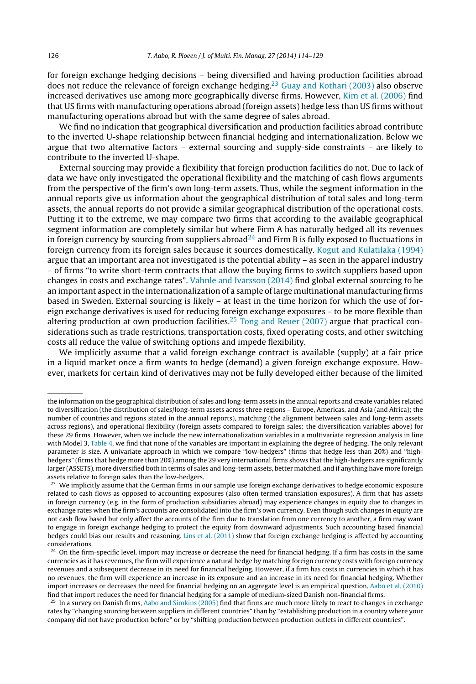for foreign exchange hedging decisions – being diversified and having production facilities abroad does not reduce the relevance of foreign exchange hedging.<sup>23</sup> [Guay](#page-14-0) [and](#page-14-0) [Kothari](#page-14-0) [\(2003\)](#page-14-0) also observe increased derivatives use among more geographically diverse firms. However, [Kim](#page-14-0) et [al.](#page-14-0) [\(2006\)](#page-14-0) find that US firms with manufacturing operations abroad (foreign assets) hedge less than US firms without manufacturing operations abroad but with the same degree of sales abroad.

We find no indication that geographical diversification and production facilities abroad contribute to the inverted U-shape relationship between financial hedging and internationalization. Below we argue that two alternative factors – external sourcing and supply-side constraints – are likely to contribute to the inverted U-shape.

External sourcing may provide a flexibility that foreign production facilities do not. Due to lack of data we have only investigated the operational flexibility and the matching of cash flows arguments from the perspective of the firm's own long-term assets. Thus, while the segment information in the annual reports give us information about the geographical distribution of total sales and long-term assets, the annual reports do not provide a similar geographical distribution of the operational costs. Putting it to the extreme, we may compare two firms that according to the available geographical segment information are completely similar but where Firm A has naturally hedged all its revenues in foreign currency by sourcing from suppliers abroad<sup>24</sup> and Firm B is fully exposed to fluctuations in foreign currency from its foreign sales because it sources domestically. [Kogut](#page-14-0) [and](#page-14-0) [Kulatilaka](#page-14-0) [\(1994\)](#page-14-0) argue that an important area not investigated is the potential ability – as seen in the apparel industry – of firms "to write short-term contracts that allow the buying firms to switch suppliers based upon changes in costs and exchange rates". [Vahnle](#page-15-0) [and](#page-15-0) [Ivarsson](#page-15-0) [\(2014\)](#page-15-0) find global external sourcing to be an important aspect in the internationalization of a sample of large multinational manufacturing firms based in Sweden. External sourcing is likely – at least in the time horizon for which the use of foreign exchange derivatives is used for reducing foreign exchange exposures – to be more flexible than altering production at own production facilities.<sup>25</sup> [Tong](#page-15-0) [and](#page-15-0) [Reuer](#page-15-0) [\(2007\)](#page-15-0) argue that practical considerations such as trade restrictions, transportation costs, fixed operating costs, and other switching costs all reduce the value of switching options and impede flexibility.

We implicitly assume that a valid foreign exchange contract is available (supply) at a fair price in a liquid market once a firm wants to hedge (demand) a given foreign exchange exposure. However, markets for certain kind of derivatives may not be fully developed either because of the limited

the information on the geographical distribution of sales and long-term assets in the annual reports and create variables related to diversification (the distribution of sales/long-term assets across three regions – Europe, Americas, and Asia (and Africa); the number of countries and regions stated in the annual reports), matching (the alignment between sales and long-term assets across regions), and operational flexibility (foreign assets compared to foreign sales; the diversification variables above) for these 29 firms. However, when we include the new internationalization variables in a multivariate regression analysis in line with Model 3, [Table](#page-8-0) 4, we find that none of the variables are important in explaining the degree of hedging. The only relevant parameter is size. A univariate approach in which we compare "low-hedgers" (firms that hedge less than 20%) and "highhedgers" (firms that hedge more than 20%) among the 29 very international firms shows that the high-hedgers are significantly larger (ASSETS), more diversified both in terms of sales and long-term assets, better matched, and if anything have more foreign assets relative to foreign sales than the low-hedgers.

<sup>&</sup>lt;sup>23</sup> We implicitly assume that the German firms in our sample use foreign exchange derivatives to hedge economic exposure related to cash flows as opposed to accounting exposures (also often termed translation exposures). A firm that has assets in foreign currency (e.g. in the form of production subsidiaries abroad) may experience changes in equity due to changes in exchange rates when the firm's accounts are consolidated into the firm's own currency. Even though such changes in equity are not cash flow based but only affect the accounts of the firm due to translation from one currency to another, a firm may want to engage in foreign exchange hedging to protect the equity from downward adjustments. Such accounting based financial hedges could bias our results and reasoning. [Lins](#page-14-0) et [al.](#page-14-0) [\(2011\)](#page-14-0) show that foreign exchange hedging is affected by accounting considerations.

<sup>&</sup>lt;sup>24</sup> On the firm-specific level, import may increase or decrease the need for financial hedging. If a firm has costs in the same currencies as it has revenues, the firm will experience a natural hedge by matching foreign currency costs with foreign currency revenues and a subsequent decrease in its need for financial hedging. However, if a firm has costs in currencies in which it has no revenues, the firm will experience an increase in its exposure and an increase in its need for financial hedging. Whether import increases or decreases the need for financial hedging on an aggregate level is an empirical question. [Aabo](#page-13-0) et [al.](#page-13-0) [\(2010\)](#page-13-0) find that import reduces the need for financial hedging for a sample of medium-sized Danish non-financial firms.

 $25$  In a survey on Danish firms, [Aabo](#page-13-0) [and](#page-13-0) [Simkins](#page-13-0) [\(2005\)](#page-13-0) find that firms are much more likely to react to changes in exchange rates by "changing sourcing between suppliers in different countries" than by "establishing production in a country where your company did not have production before" or by "shifting production between production outlets in different countries".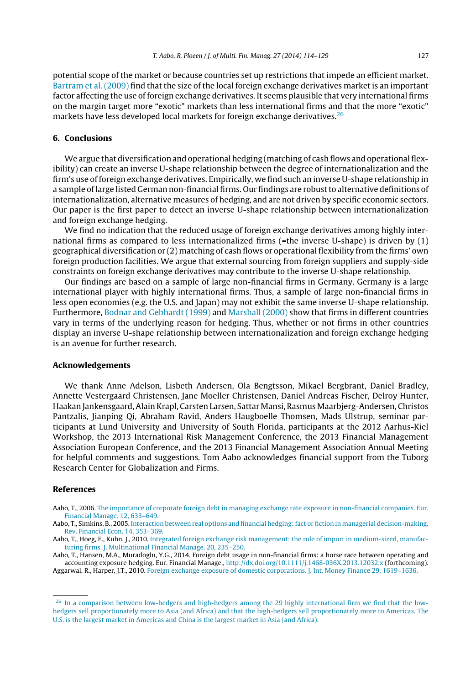<span id="page-13-0"></span>potential scope of the market or because countries set up restrictions that impede an efficient market. [Bartram](#page-14-0) et [al.](#page-14-0) [\(2009\)](#page-14-0) find that the size of the local foreign exchange derivatives market is an important factor affecting the use of foreign exchange derivatives. It seems plausible that very international firms on the margin target more "exotic" markets than less international firms and that the more "exotic" markets have less developed local markets for foreign exchange derivatives.<sup>26</sup>

#### **6. Conclusions**

We argue that diversification and operational hedging (matching of cash flows and operational flexibility) can create an inverse U-shape relationship between the degree of internationalization and the firm's use of foreign exchange derivatives. Empirically, we find such an inverse U-shape relationship in a sample oflarge listed German non-financial firms. Our findings are robustto alternative definitions of internationalization, alternative measures of hedging, and are not driven by specific economic sectors. Our paper is the first paper to detect an inverse U-shape relationship between internationalization and foreign exchange hedging.

We find no indication that the reduced usage of foreign exchange derivatives among highly international firms as compared to less internationalized firms (=the inverse U-shape) is driven by (1) geographical diversification or (2) matching of cash flows or operational flexibility from the firms' own foreign production facilities. We argue that external sourcing from foreign suppliers and supply-side constraints on foreign exchange derivatives may contribute to the inverse U-shape relationship.

Our findings are based on a sample of large non-financial firms in Germany. Germany is a large international player with highly international firms. Thus, a sample of large non-financial firms in less open economies (e.g. the U.S. and Japan) may not exhibit the same inverse U-shape relationship. Furthermore, [Bodnar](#page-14-0) [and](#page-14-0) [Gebhardt](#page-14-0) [\(1999\)](#page-14-0) and [Marshall](#page-14-0) [\(2000\)](#page-14-0) show that firms in different countries vary in terms of the underlying reason for hedging. Thus, whether or not firms in other countries display an inverse U-shape relationship between internationalization and foreign exchange hedging is an avenue for further research.

#### **Acknowledgements**

We thank Anne Adelson, Lisbeth Andersen, Ola Bengtsson, Mikael Bergbrant, Daniel Bradley, Annette Vestergaard Christensen, Jane Moeller Christensen, Daniel Andreas Fischer, Delroy Hunter, Haakan Jankensgaard, Alain Krapl, Carsten Larsen, Sattar Mansi, Rasmus Maarbjerg-Andersen, Christos Pantzalis, Jianping Qi, Abraham Ravid, Anders Haugboelle Thomsen, Mads Ulstrup, seminar participants at Lund University and University of South Florida, participants at the 2012 Aarhus-Kiel Workshop, the 2013 International Risk Management Conference, the 2013 Financial Management Association European Conference, and the 2013 Financial Management Association Annual Meeting for helpful comments and suggestions. Tom Aabo acknowledges financial support from the Tuborg Research Center for Globalization and Firms.

#### **References**

Aabo, T., 2006. [The](http://refhub.elsevier.com/S1042-444X(14)00012-7/sbref0005) [importance](http://refhub.elsevier.com/S1042-444X(14)00012-7/sbref0005) [of](http://refhub.elsevier.com/S1042-444X(14)00012-7/sbref0005) [corporate](http://refhub.elsevier.com/S1042-444X(14)00012-7/sbref0005) [foreign](http://refhub.elsevier.com/S1042-444X(14)00012-7/sbref0005) [debt](http://refhub.elsevier.com/S1042-444X(14)00012-7/sbref0005) [in](http://refhub.elsevier.com/S1042-444X(14)00012-7/sbref0005) [managing](http://refhub.elsevier.com/S1042-444X(14)00012-7/sbref0005) [exchange](http://refhub.elsevier.com/S1042-444X(14)00012-7/sbref0005) [rate](http://refhub.elsevier.com/S1042-444X(14)00012-7/sbref0005) [exposure](http://refhub.elsevier.com/S1042-444X(14)00012-7/sbref0005) [in](http://refhub.elsevier.com/S1042-444X(14)00012-7/sbref0005) [non-financial](http://refhub.elsevier.com/S1042-444X(14)00012-7/sbref0005) [companies.](http://refhub.elsevier.com/S1042-444X(14)00012-7/sbref0005) [Eur.](http://refhub.elsevier.com/S1042-444X(14)00012-7/sbref0005) [Financial](http://refhub.elsevier.com/S1042-444X(14)00012-7/sbref0005) [Manage.](http://refhub.elsevier.com/S1042-444X(14)00012-7/sbref0005) [12,](http://refhub.elsevier.com/S1042-444X(14)00012-7/sbref0005) [633–649.](http://refhub.elsevier.com/S1042-444X(14)00012-7/sbref0005)

Aabo, T., Simkins, B., 2005. [Interaction](http://refhub.elsevier.com/S1042-444X(14)00012-7/sbref0020) [between](http://refhub.elsevier.com/S1042-444X(14)00012-7/sbref0020) [real](http://refhub.elsevier.com/S1042-444X(14)00012-7/sbref0020) [options](http://refhub.elsevier.com/S1042-444X(14)00012-7/sbref0020) [and](http://refhub.elsevier.com/S1042-444X(14)00012-7/sbref0020) [financial](http://refhub.elsevier.com/S1042-444X(14)00012-7/sbref0020) [hedging:fact](http://refhub.elsevier.com/S1042-444X(14)00012-7/sbref0020) [or](http://refhub.elsevier.com/S1042-444X(14)00012-7/sbref0020) [fiction](http://refhub.elsevier.com/S1042-444X(14)00012-7/sbref0020) [in](http://refhub.elsevier.com/S1042-444X(14)00012-7/sbref0020) [managerial](http://refhub.elsevier.com/S1042-444X(14)00012-7/sbref0020) [decision-making.](http://refhub.elsevier.com/S1042-444X(14)00012-7/sbref0020) [Rev.](http://refhub.elsevier.com/S1042-444X(14)00012-7/sbref0020) [Financial](http://refhub.elsevier.com/S1042-444X(14)00012-7/sbref0020) [Econ.](http://refhub.elsevier.com/S1042-444X(14)00012-7/sbref0020) [14,](http://refhub.elsevier.com/S1042-444X(14)00012-7/sbref0020) [353–369.](http://refhub.elsevier.com/S1042-444X(14)00012-7/sbref0020)

Aabo, T., Hoeg, E., Kuhn, J., 2010. [Integrated](http://refhub.elsevier.com/S1042-444X(14)00012-7/sbref0015) [foreign](http://refhub.elsevier.com/S1042-444X(14)00012-7/sbref0015) [exchange](http://refhub.elsevier.com/S1042-444X(14)00012-7/sbref0015) [risk](http://refhub.elsevier.com/S1042-444X(14)00012-7/sbref0015) [management:](http://refhub.elsevier.com/S1042-444X(14)00012-7/sbref0015) [the](http://refhub.elsevier.com/S1042-444X(14)00012-7/sbref0015) [role](http://refhub.elsevier.com/S1042-444X(14)00012-7/sbref0015) [of](http://refhub.elsevier.com/S1042-444X(14)00012-7/sbref0015) [import](http://refhub.elsevier.com/S1042-444X(14)00012-7/sbref0015) [in](http://refhub.elsevier.com/S1042-444X(14)00012-7/sbref0015) [medium-sized,](http://refhub.elsevier.com/S1042-444X(14)00012-7/sbref0015) [manufac](http://refhub.elsevier.com/S1042-444X(14)00012-7/sbref0015)[turing](http://refhub.elsevier.com/S1042-444X(14)00012-7/sbref0015) [firms.](http://refhub.elsevier.com/S1042-444X(14)00012-7/sbref0015) [J.](http://refhub.elsevier.com/S1042-444X(14)00012-7/sbref0015) [Multinational](http://refhub.elsevier.com/S1042-444X(14)00012-7/sbref0015) [Financial](http://refhub.elsevier.com/S1042-444X(14)00012-7/sbref0015) [Manage.](http://refhub.elsevier.com/S1042-444X(14)00012-7/sbref0015) [20,](http://refhub.elsevier.com/S1042-444X(14)00012-7/sbref0015) [235–250.](http://refhub.elsevier.com/S1042-444X(14)00012-7/sbref0015)

Aabo, T., Hansen, M.A., Muradoglu, Y.G., 2014. Foreign debt usage in non-financial firms: a horse race between operating and accounting exposure hedging. Eur. Financial Manage., [http://dx.doi.org/10.1111/j.1468-036X.2013.12032.x](dx.doi.org/10.1111/j.1468-036X.2013.12032.x) (forthcoming). Aggarwal, R., Harper, J.T., 2010. [Foreign](http://refhub.elsevier.com/S1042-444X(14)00012-7/sbref0025) [exchange](http://refhub.elsevier.com/S1042-444X(14)00012-7/sbref0025) [exposure](http://refhub.elsevier.com/S1042-444X(14)00012-7/sbref0025) [of](http://refhub.elsevier.com/S1042-444X(14)00012-7/sbref0025) [domestic](http://refhub.elsevier.com/S1042-444X(14)00012-7/sbref0025) [corporations.](http://refhub.elsevier.com/S1042-444X(14)00012-7/sbref0025) [J.](http://refhub.elsevier.com/S1042-444X(14)00012-7/sbref0025) [Int.](http://refhub.elsevier.com/S1042-444X(14)00012-7/sbref0025) [Money](http://refhub.elsevier.com/S1042-444X(14)00012-7/sbref0025) [Finance](http://refhub.elsevier.com/S1042-444X(14)00012-7/sbref0025) [29,](http://refhub.elsevier.com/S1042-444X(14)00012-7/sbref0025) [1619–1636.](http://refhub.elsevier.com/S1042-444X(14)00012-7/sbref0025)

<sup>[26](http://refhub.elsevier.com/S1042-444X(14)00012-7/sbref0025)</sup> [In](http://refhub.elsevier.com/S1042-444X(14)00012-7/sbref0025) [a](http://refhub.elsevier.com/S1042-444X(14)00012-7/sbref0025) [comparison](http://refhub.elsevier.com/S1042-444X(14)00012-7/sbref0025) [between](http://refhub.elsevier.com/S1042-444X(14)00012-7/sbref0025) [low-hedgers](http://refhub.elsevier.com/S1042-444X(14)00012-7/sbref0025) [and](http://refhub.elsevier.com/S1042-444X(14)00012-7/sbref0025) [high-hedgers](http://refhub.elsevier.com/S1042-444X(14)00012-7/sbref0025) [among](http://refhub.elsevier.com/S1042-444X(14)00012-7/sbref0025) [the](http://refhub.elsevier.com/S1042-444X(14)00012-7/sbref0025) [29](http://refhub.elsevier.com/S1042-444X(14)00012-7/sbref0025) [highly](http://refhub.elsevier.com/S1042-444X(14)00012-7/sbref0025) [international](http://refhub.elsevier.com/S1042-444X(14)00012-7/sbref0025) [firm](http://refhub.elsevier.com/S1042-444X(14)00012-7/sbref0025) [we](http://refhub.elsevier.com/S1042-444X(14)00012-7/sbref0025) [find](http://refhub.elsevier.com/S1042-444X(14)00012-7/sbref0025) [that](http://refhub.elsevier.com/S1042-444X(14)00012-7/sbref0025) the [low](http://refhub.elsevier.com/S1042-444X(14)00012-7/sbref0025)[hedgers](http://refhub.elsevier.com/S1042-444X(14)00012-7/sbref0025) [sell](http://refhub.elsevier.com/S1042-444X(14)00012-7/sbref0025) [proportionately](http://refhub.elsevier.com/S1042-444X(14)00012-7/sbref0025) [more](http://refhub.elsevier.com/S1042-444X(14)00012-7/sbref0025) [to](http://refhub.elsevier.com/S1042-444X(14)00012-7/sbref0025) [Asia](http://refhub.elsevier.com/S1042-444X(14)00012-7/sbref0025) [\(and](http://refhub.elsevier.com/S1042-444X(14)00012-7/sbref0025) [Africa\)](http://refhub.elsevier.com/S1042-444X(14)00012-7/sbref0025) [and](http://refhub.elsevier.com/S1042-444X(14)00012-7/sbref0025) [that](http://refhub.elsevier.com/S1042-444X(14)00012-7/sbref0025) [the](http://refhub.elsevier.com/S1042-444X(14)00012-7/sbref0025) [high-hedgers](http://refhub.elsevier.com/S1042-444X(14)00012-7/sbref0025) [sell](http://refhub.elsevier.com/S1042-444X(14)00012-7/sbref0025) [proportionately](http://refhub.elsevier.com/S1042-444X(14)00012-7/sbref0025) [more](http://refhub.elsevier.com/S1042-444X(14)00012-7/sbref0025) [to](http://refhub.elsevier.com/S1042-444X(14)00012-7/sbref0025) [Americas.](http://refhub.elsevier.com/S1042-444X(14)00012-7/sbref0025) [The](http://refhub.elsevier.com/S1042-444X(14)00012-7/sbref0025) [U.S.](http://refhub.elsevier.com/S1042-444X(14)00012-7/sbref0025) [is](http://refhub.elsevier.com/S1042-444X(14)00012-7/sbref0025) [the](http://refhub.elsevier.com/S1042-444X(14)00012-7/sbref0025) [largest](http://refhub.elsevier.com/S1042-444X(14)00012-7/sbref0025) [market](http://refhub.elsevier.com/S1042-444X(14)00012-7/sbref0025) [in](http://refhub.elsevier.com/S1042-444X(14)00012-7/sbref0025) [Americas](http://refhub.elsevier.com/S1042-444X(14)00012-7/sbref0025) [and](http://refhub.elsevier.com/S1042-444X(14)00012-7/sbref0025) [China](http://refhub.elsevier.com/S1042-444X(14)00012-7/sbref0025) [is](http://refhub.elsevier.com/S1042-444X(14)00012-7/sbref0025) [the](http://refhub.elsevier.com/S1042-444X(14)00012-7/sbref0025) [largest](http://refhub.elsevier.com/S1042-444X(14)00012-7/sbref0025) [market](http://refhub.elsevier.com/S1042-444X(14)00012-7/sbref0025) [in](http://refhub.elsevier.com/S1042-444X(14)00012-7/sbref0025) [Asia](http://refhub.elsevier.com/S1042-444X(14)00012-7/sbref0025) [\(and](http://refhub.elsevier.com/S1042-444X(14)00012-7/sbref0025) [Africa\).](http://refhub.elsevier.com/S1042-444X(14)00012-7/sbref0025)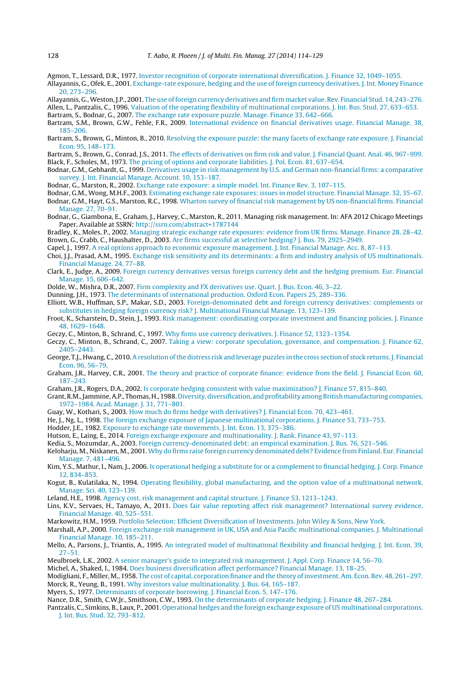- <span id="page-14-0"></span>Agmon, T., Lessard, D.R., 1977. [Investor](http://refhub.elsevier.com/S1042-444X(14)00012-7/sbref0030) [recognition](http://refhub.elsevier.com/S1042-444X(14)00012-7/sbref0030) [of](http://refhub.elsevier.com/S1042-444X(14)00012-7/sbref0030) [corporate](http://refhub.elsevier.com/S1042-444X(14)00012-7/sbref0030) [international](http://refhub.elsevier.com/S1042-444X(14)00012-7/sbref0030) [diversification.](http://refhub.elsevier.com/S1042-444X(14)00012-7/sbref0030) [J.](http://refhub.elsevier.com/S1042-444X(14)00012-7/sbref0030) [Finance](http://refhub.elsevier.com/S1042-444X(14)00012-7/sbref0030) [32,](http://refhub.elsevier.com/S1042-444X(14)00012-7/sbref0030) [1049–1055.](http://refhub.elsevier.com/S1042-444X(14)00012-7/sbref0030)
- Allayannis, G., Ofek, E., 2001. [Exchange-rate](http://refhub.elsevier.com/S1042-444X(14)00012-7/sbref0035) [exposure,](http://refhub.elsevier.com/S1042-444X(14)00012-7/sbref0035) [hedging](http://refhub.elsevier.com/S1042-444X(14)00012-7/sbref0035) [and](http://refhub.elsevier.com/S1042-444X(14)00012-7/sbref0035) [the](http://refhub.elsevier.com/S1042-444X(14)00012-7/sbref0035) [use](http://refhub.elsevier.com/S1042-444X(14)00012-7/sbref0035) [of](http://refhub.elsevier.com/S1042-444X(14)00012-7/sbref0035) [foreign](http://refhub.elsevier.com/S1042-444X(14)00012-7/sbref0035) [currency](http://refhub.elsevier.com/S1042-444X(14)00012-7/sbref0035) [derivatives.](http://refhub.elsevier.com/S1042-444X(14)00012-7/sbref0035) [J.](http://refhub.elsevier.com/S1042-444X(14)00012-7/sbref0035) [Int.](http://refhub.elsevier.com/S1042-444X(14)00012-7/sbref0035) [Money](http://refhub.elsevier.com/S1042-444X(14)00012-7/sbref0035) [Finance](http://refhub.elsevier.com/S1042-444X(14)00012-7/sbref0035) [20,](http://refhub.elsevier.com/S1042-444X(14)00012-7/sbref0035) [273–296.](http://refhub.elsevier.com/S1042-444X(14)00012-7/sbref0035)
- Allayannis, G.,Weston, J.P., 2001. [The](http://refhub.elsevier.com/S1042-444X(14)00012-7/sbref0040) [use](http://refhub.elsevier.com/S1042-444X(14)00012-7/sbref0040) [of](http://refhub.elsevier.com/S1042-444X(14)00012-7/sbref0040) [foreign](http://refhub.elsevier.com/S1042-444X(14)00012-7/sbref0040) [currency](http://refhub.elsevier.com/S1042-444X(14)00012-7/sbref0040) [derivatives](http://refhub.elsevier.com/S1042-444X(14)00012-7/sbref0040) [and](http://refhub.elsevier.com/S1042-444X(14)00012-7/sbref0040) [firm](http://refhub.elsevier.com/S1042-444X(14)00012-7/sbref0040) [market](http://refhub.elsevier.com/S1042-444X(14)00012-7/sbref0040) [value.](http://refhub.elsevier.com/S1042-444X(14)00012-7/sbref0040) [Rev.](http://refhub.elsevier.com/S1042-444X(14)00012-7/sbref0040) [Financial](http://refhub.elsevier.com/S1042-444X(14)00012-7/sbref0040) [Stud.](http://refhub.elsevier.com/S1042-444X(14)00012-7/sbref0040) [14,](http://refhub.elsevier.com/S1042-444X(14)00012-7/sbref0040) [243](http://refhub.elsevier.com/S1042-444X(14)00012-7/sbref0040)–[276.](http://refhub.elsevier.com/S1042-444X(14)00012-7/sbref0040) Allen, L., Pantzalis, C., 1996. [Valuation](http://refhub.elsevier.com/S1042-444X(14)00012-7/sbref0045) [of](http://refhub.elsevier.com/S1042-444X(14)00012-7/sbref0045) [the](http://refhub.elsevier.com/S1042-444X(14)00012-7/sbref0045) [operating](http://refhub.elsevier.com/S1042-444X(14)00012-7/sbref0045) [flexibility](http://refhub.elsevier.com/S1042-444X(14)00012-7/sbref0045) [of](http://refhub.elsevier.com/S1042-444X(14)00012-7/sbref0045) [multinational](http://refhub.elsevier.com/S1042-444X(14)00012-7/sbref0045) [corporations.](http://refhub.elsevier.com/S1042-444X(14)00012-7/sbref0045) [J.](http://refhub.elsevier.com/S1042-444X(14)00012-7/sbref0045) [Int.](http://refhub.elsevier.com/S1042-444X(14)00012-7/sbref0045) [Bus.](http://refhub.elsevier.com/S1042-444X(14)00012-7/sbref0045) [Stud.](http://refhub.elsevier.com/S1042-444X(14)00012-7/sbref0045) [27,](http://refhub.elsevier.com/S1042-444X(14)00012-7/sbref0045) [633](http://refhub.elsevier.com/S1042-444X(14)00012-7/sbref0045)–[653.](http://refhub.elsevier.com/S1042-444X(14)00012-7/sbref0045)

Bartram, S., Bodnar, G., 2007. [The](http://refhub.elsevier.com/S1042-444X(14)00012-7/sbref0050) [exchange](http://refhub.elsevier.com/S1042-444X(14)00012-7/sbref0050) [rate](http://refhub.elsevier.com/S1042-444X(14)00012-7/sbref0050) [exposure](http://refhub.elsevier.com/S1042-444X(14)00012-7/sbref0050) [puzzle.](http://refhub.elsevier.com/S1042-444X(14)00012-7/sbref0050) [Manage.](http://refhub.elsevier.com/S1042-444X(14)00012-7/sbref0050) [Finance](http://refhub.elsevier.com/S1042-444X(14)00012-7/sbref0050) [33,](http://refhub.elsevier.com/S1042-444X(14)00012-7/sbref0050) [642](http://refhub.elsevier.com/S1042-444X(14)00012-7/sbref0050)–[666.](http://refhub.elsevier.com/S1042-444X(14)00012-7/sbref0050)

- Bartram, S.M., Brown, G.W., Fehle, F.R., 2009. [International](http://refhub.elsevier.com/S1042-444X(14)00012-7/sbref0060) [evidence](http://refhub.elsevier.com/S1042-444X(14)00012-7/sbref0060) [on](http://refhub.elsevier.com/S1042-444X(14)00012-7/sbref0060) [financial](http://refhub.elsevier.com/S1042-444X(14)00012-7/sbref0060) [derivatives](http://refhub.elsevier.com/S1042-444X(14)00012-7/sbref0060) [usage.](http://refhub.elsevier.com/S1042-444X(14)00012-7/sbref0060) [Financial](http://refhub.elsevier.com/S1042-444X(14)00012-7/sbref0060) [Manage.](http://refhub.elsevier.com/S1042-444X(14)00012-7/sbref0060) [38,](http://refhub.elsevier.com/S1042-444X(14)00012-7/sbref0060) [185–206.](http://refhub.elsevier.com/S1042-444X(14)00012-7/sbref0060)
- Bartram, S., Brown, G., Minton, B., 2010. [Resolving](http://refhub.elsevier.com/S1042-444X(14)00012-7/sbref0065) [the](http://refhub.elsevier.com/S1042-444X(14)00012-7/sbref0065) [exposure](http://refhub.elsevier.com/S1042-444X(14)00012-7/sbref0065) [puzzle:](http://refhub.elsevier.com/S1042-444X(14)00012-7/sbref0065) [the](http://refhub.elsevier.com/S1042-444X(14)00012-7/sbref0065) [many](http://refhub.elsevier.com/S1042-444X(14)00012-7/sbref0065) [facets](http://refhub.elsevier.com/S1042-444X(14)00012-7/sbref0065) [of](http://refhub.elsevier.com/S1042-444X(14)00012-7/sbref0065) [exchange](http://refhub.elsevier.com/S1042-444X(14)00012-7/sbref0065) [rate](http://refhub.elsevier.com/S1042-444X(14)00012-7/sbref0065) [exposure.](http://refhub.elsevier.com/S1042-444X(14)00012-7/sbref0065) [J.](http://refhub.elsevier.com/S1042-444X(14)00012-7/sbref0065) [Financial](http://refhub.elsevier.com/S1042-444X(14)00012-7/sbref0065) [Econ.](http://refhub.elsevier.com/S1042-444X(14)00012-7/sbref0065) [95,](http://refhub.elsevier.com/S1042-444X(14)00012-7/sbref0065) [148](http://refhub.elsevier.com/S1042-444X(14)00012-7/sbref0065)–[173.](http://refhub.elsevier.com/S1042-444X(14)00012-7/sbref0065)
- Bartram, S., Brown, G., Conrad, J.S., 2011. [The](http://refhub.elsevier.com/S1042-444X(14)00012-7/sbref0055) [effects](http://refhub.elsevier.com/S1042-444X(14)00012-7/sbref0055) [of](http://refhub.elsevier.com/S1042-444X(14)00012-7/sbref0055) [derivatives](http://refhub.elsevier.com/S1042-444X(14)00012-7/sbref0055) [on](http://refhub.elsevier.com/S1042-444X(14)00012-7/sbref0055) [firm](http://refhub.elsevier.com/S1042-444X(14)00012-7/sbref0055) [risk](http://refhub.elsevier.com/S1042-444X(14)00012-7/sbref0055) [and](http://refhub.elsevier.com/S1042-444X(14)00012-7/sbref0055) [value.](http://refhub.elsevier.com/S1042-444X(14)00012-7/sbref0055) [J.](http://refhub.elsevier.com/S1042-444X(14)00012-7/sbref0055) [Financial](http://refhub.elsevier.com/S1042-444X(14)00012-7/sbref0055) [Quant.](http://refhub.elsevier.com/S1042-444X(14)00012-7/sbref0055) [Anal.](http://refhub.elsevier.com/S1042-444X(14)00012-7/sbref0055) [46,](http://refhub.elsevier.com/S1042-444X(14)00012-7/sbref0055) [967](http://refhub.elsevier.com/S1042-444X(14)00012-7/sbref0055)–[999.](http://refhub.elsevier.com/S1042-444X(14)00012-7/sbref0055) Black, F., Scholes, M., 1973. [The](http://refhub.elsevier.com/S1042-444X(14)00012-7/sbref0070) [pricing](http://refhub.elsevier.com/S1042-444X(14)00012-7/sbref0070) [of](http://refhub.elsevier.com/S1042-444X(14)00012-7/sbref0070) [options](http://refhub.elsevier.com/S1042-444X(14)00012-7/sbref0070) [and](http://refhub.elsevier.com/S1042-444X(14)00012-7/sbref0070) [corporate](http://refhub.elsevier.com/S1042-444X(14)00012-7/sbref0070) [liabilities.](http://refhub.elsevier.com/S1042-444X(14)00012-7/sbref0070) [J.](http://refhub.elsevier.com/S1042-444X(14)00012-7/sbref0070) [Pol.](http://refhub.elsevier.com/S1042-444X(14)00012-7/sbref0070) [Econ.](http://refhub.elsevier.com/S1042-444X(14)00012-7/sbref0070) [81,](http://refhub.elsevier.com/S1042-444X(14)00012-7/sbref0070) [637](http://refhub.elsevier.com/S1042-444X(14)00012-7/sbref0070)–[654.](http://refhub.elsevier.com/S1042-444X(14)00012-7/sbref0070)
- Bodnar, G.M., Gebhardt, G., 1999. [Derivatives](http://refhub.elsevier.com/S1042-444X(14)00012-7/sbref0080) [usage](http://refhub.elsevier.com/S1042-444X(14)00012-7/sbref0080) [in](http://refhub.elsevier.com/S1042-444X(14)00012-7/sbref0080) [risk](http://refhub.elsevier.com/S1042-444X(14)00012-7/sbref0080) [management](http://refhub.elsevier.com/S1042-444X(14)00012-7/sbref0080) [by](http://refhub.elsevier.com/S1042-444X(14)00012-7/sbref0080) [U.S.](http://refhub.elsevier.com/S1042-444X(14)00012-7/sbref0080) [and](http://refhub.elsevier.com/S1042-444X(14)00012-7/sbref0080) [German](http://refhub.elsevier.com/S1042-444X(14)00012-7/sbref0080) [non-financial](http://refhub.elsevier.com/S1042-444X(14)00012-7/sbref0080) [firms:](http://refhub.elsevier.com/S1042-444X(14)00012-7/sbref0080) [a](http://refhub.elsevier.com/S1042-444X(14)00012-7/sbref0080) [comparative](http://refhub.elsevier.com/S1042-444X(14)00012-7/sbref0080) [survey.](http://refhub.elsevier.com/S1042-444X(14)00012-7/sbref0080) [J.](http://refhub.elsevier.com/S1042-444X(14)00012-7/sbref0080) [Int.](http://refhub.elsevier.com/S1042-444X(14)00012-7/sbref0080) [Financial](http://refhub.elsevier.com/S1042-444X(14)00012-7/sbref0080) [Manage.](http://refhub.elsevier.com/S1042-444X(14)00012-7/sbref0080) [Account.](http://refhub.elsevier.com/S1042-444X(14)00012-7/sbref0080) [10,](http://refhub.elsevier.com/S1042-444X(14)00012-7/sbref0080) [153](http://refhub.elsevier.com/S1042-444X(14)00012-7/sbref0080)–[187.](http://refhub.elsevier.com/S1042-444X(14)00012-7/sbref0080)

Bodnar, G., Marston, R., 2002. [Exchange](http://refhub.elsevier.com/S1042-444X(14)00012-7/sbref0090) [rate](http://refhub.elsevier.com/S1042-444X(14)00012-7/sbref0090) [exposure:](http://refhub.elsevier.com/S1042-444X(14)00012-7/sbref0090) [a](http://refhub.elsevier.com/S1042-444X(14)00012-7/sbref0090) [simple](http://refhub.elsevier.com/S1042-444X(14)00012-7/sbref0090) [model.](http://refhub.elsevier.com/S1042-444X(14)00012-7/sbref0090) [Int.](http://refhub.elsevier.com/S1042-444X(14)00012-7/sbref0090) [Finance](http://refhub.elsevier.com/S1042-444X(14)00012-7/sbref0090) [Rev.](http://refhub.elsevier.com/S1042-444X(14)00012-7/sbref0090) [3,](http://refhub.elsevier.com/S1042-444X(14)00012-7/sbref0090) [107](http://refhub.elsevier.com/S1042-444X(14)00012-7/sbref0090)–[115.](http://refhub.elsevier.com/S1042-444X(14)00012-7/sbref0090)

- Bodnar, G.M., Wong, M.H.F., 2003. [Estimating](http://refhub.elsevier.com/S1042-444X(14)00012-7/sbref0095) [exchange](http://refhub.elsevier.com/S1042-444X(14)00012-7/sbref0095) [rate](http://refhub.elsevier.com/S1042-444X(14)00012-7/sbref0095) [exposures:](http://refhub.elsevier.com/S1042-444X(14)00012-7/sbref0095) [issues](http://refhub.elsevier.com/S1042-444X(14)00012-7/sbref0095) [in](http://refhub.elsevier.com/S1042-444X(14)00012-7/sbref0095) [model](http://refhub.elsevier.com/S1042-444X(14)00012-7/sbref0095) [structure.](http://refhub.elsevier.com/S1042-444X(14)00012-7/sbref0095) [Financial](http://refhub.elsevier.com/S1042-444X(14)00012-7/sbref0095) [Manage.](http://refhub.elsevier.com/S1042-444X(14)00012-7/sbref0095) [32,](http://refhub.elsevier.com/S1042-444X(14)00012-7/sbref0095) [35](http://refhub.elsevier.com/S1042-444X(14)00012-7/sbref0095)–[67.](http://refhub.elsevier.com/S1042-444X(14)00012-7/sbref0095)
- Bodnar, G.M., Hayt, G.S., Marston, R.C., 1998. [Wharton](http://refhub.elsevier.com/S1042-444X(14)00012-7/sbref0085) [survey](http://refhub.elsevier.com/S1042-444X(14)00012-7/sbref0085) [of](http://refhub.elsevier.com/S1042-444X(14)00012-7/sbref0085) [financial](http://refhub.elsevier.com/S1042-444X(14)00012-7/sbref0085) [risk](http://refhub.elsevier.com/S1042-444X(14)00012-7/sbref0085) [management](http://refhub.elsevier.com/S1042-444X(14)00012-7/sbref0085) [by](http://refhub.elsevier.com/S1042-444X(14)00012-7/sbref0085) [US](http://refhub.elsevier.com/S1042-444X(14)00012-7/sbref0085) [non-financial](http://refhub.elsevier.com/S1042-444X(14)00012-7/sbref0085) [firms.](http://refhub.elsevier.com/S1042-444X(14)00012-7/sbref0085) [Financial](http://refhub.elsevier.com/S1042-444X(14)00012-7/sbref0085) [Manage.](http://refhub.elsevier.com/S1042-444X(14)00012-7/sbref0085) [27,](http://refhub.elsevier.com/S1042-444X(14)00012-7/sbref0085) [70](http://refhub.elsevier.com/S1042-444X(14)00012-7/sbref0085)–[91.](http://refhub.elsevier.com/S1042-444X(14)00012-7/sbref0085)
- Bodnar, G., Giambona, E., Graham, J., Harvey, C., Marston, R., 2011. Managing risk management. In: AFA 2012 Chicago Meetings Paper, Available at SSRN: <http://ssrn.com/abstract=1787144>
- Bradley, K., Moles, P., 2002. [Managing](http://refhub.elsevier.com/S1042-444X(14)00012-7/sbref0100) [strategic](http://refhub.elsevier.com/S1042-444X(14)00012-7/sbref0100) [exchange](http://refhub.elsevier.com/S1042-444X(14)00012-7/sbref0100) [rate](http://refhub.elsevier.com/S1042-444X(14)00012-7/sbref0100) [exposures:](http://refhub.elsevier.com/S1042-444X(14)00012-7/sbref0100) [evidence](http://refhub.elsevier.com/S1042-444X(14)00012-7/sbref0100) [from](http://refhub.elsevier.com/S1042-444X(14)00012-7/sbref0100) [UK](http://refhub.elsevier.com/S1042-444X(14)00012-7/sbref0100) [firms.](http://refhub.elsevier.com/S1042-444X(14)00012-7/sbref0100) [Manage.](http://refhub.elsevier.com/S1042-444X(14)00012-7/sbref0100) [Finance](http://refhub.elsevier.com/S1042-444X(14)00012-7/sbref0100) [28,](http://refhub.elsevier.com/S1042-444X(14)00012-7/sbref0100) [28–42.](http://refhub.elsevier.com/S1042-444X(14)00012-7/sbref0100) Brown, G., Crabb, C., Haushalter, D., 2003. [Are](http://refhub.elsevier.com/S1042-444X(14)00012-7/sbref0105) [firms](http://refhub.elsevier.com/S1042-444X(14)00012-7/sbref0105) [successful](http://refhub.elsevier.com/S1042-444X(14)00012-7/sbref0105) [at](http://refhub.elsevier.com/S1042-444X(14)00012-7/sbref0105) [selective](http://refhub.elsevier.com/S1042-444X(14)00012-7/sbref0105) [hedging?](http://refhub.elsevier.com/S1042-444X(14)00012-7/sbref0105) [J.](http://refhub.elsevier.com/S1042-444X(14)00012-7/sbref0105) [Bus.](http://refhub.elsevier.com/S1042-444X(14)00012-7/sbref0105) [79,](http://refhub.elsevier.com/S1042-444X(14)00012-7/sbref0105) [2925–2949.](http://refhub.elsevier.com/S1042-444X(14)00012-7/sbref0105)
- Capel, J., 1997. [A](http://refhub.elsevier.com/S1042-444X(14)00012-7/sbref0110) [real](http://refhub.elsevier.com/S1042-444X(14)00012-7/sbref0110) [options](http://refhub.elsevier.com/S1042-444X(14)00012-7/sbref0110) [approach](http://refhub.elsevier.com/S1042-444X(14)00012-7/sbref0110) [to](http://refhub.elsevier.com/S1042-444X(14)00012-7/sbref0110) [economic](http://refhub.elsevier.com/S1042-444X(14)00012-7/sbref0110) [exposure](http://refhub.elsevier.com/S1042-444X(14)00012-7/sbref0110) [management.](http://refhub.elsevier.com/S1042-444X(14)00012-7/sbref0110) [J.](http://refhub.elsevier.com/S1042-444X(14)00012-7/sbref0110) [Int.](http://refhub.elsevier.com/S1042-444X(14)00012-7/sbref0110) [Financial](http://refhub.elsevier.com/S1042-444X(14)00012-7/sbref0110) [Manage.](http://refhub.elsevier.com/S1042-444X(14)00012-7/sbref0110) [Acc.](http://refhub.elsevier.com/S1042-444X(14)00012-7/sbref0110) [8,](http://refhub.elsevier.com/S1042-444X(14)00012-7/sbref0110) [87–113.](http://refhub.elsevier.com/S1042-444X(14)00012-7/sbref0110)
- Choi, J.J., Prasad, A.M., 1995. [Exchange](http://refhub.elsevier.com/S1042-444X(14)00012-7/sbref0115) [risk](http://refhub.elsevier.com/S1042-444X(14)00012-7/sbref0115) [sensitivity](http://refhub.elsevier.com/S1042-444X(14)00012-7/sbref0115) [and](http://refhub.elsevier.com/S1042-444X(14)00012-7/sbref0115) [its](http://refhub.elsevier.com/S1042-444X(14)00012-7/sbref0115) [determinants:](http://refhub.elsevier.com/S1042-444X(14)00012-7/sbref0115) [a](http://refhub.elsevier.com/S1042-444X(14)00012-7/sbref0115) [firm](http://refhub.elsevier.com/S1042-444X(14)00012-7/sbref0115) [and](http://refhub.elsevier.com/S1042-444X(14)00012-7/sbref0115) [industry](http://refhub.elsevier.com/S1042-444X(14)00012-7/sbref0115) [analysis](http://refhub.elsevier.com/S1042-444X(14)00012-7/sbref0115) [of](http://refhub.elsevier.com/S1042-444X(14)00012-7/sbref0115) [US](http://refhub.elsevier.com/S1042-444X(14)00012-7/sbref0115) [multinationals.](http://refhub.elsevier.com/S1042-444X(14)00012-7/sbref0115) [Financial](http://refhub.elsevier.com/S1042-444X(14)00012-7/sbref0115) [Manage.](http://refhub.elsevier.com/S1042-444X(14)00012-7/sbref0115) [24,](http://refhub.elsevier.com/S1042-444X(14)00012-7/sbref0115) [77–88.](http://refhub.elsevier.com/S1042-444X(14)00012-7/sbref0115)
- Clark, E., Judge, A., 2009. [Foreign](http://refhub.elsevier.com/S1042-444X(14)00012-7/sbref0120) [currency](http://refhub.elsevier.com/S1042-444X(14)00012-7/sbref0120) [derivatives](http://refhub.elsevier.com/S1042-444X(14)00012-7/sbref0120) [versus](http://refhub.elsevier.com/S1042-444X(14)00012-7/sbref0120) [foreign](http://refhub.elsevier.com/S1042-444X(14)00012-7/sbref0120) [currency](http://refhub.elsevier.com/S1042-444X(14)00012-7/sbref0120) [debt](http://refhub.elsevier.com/S1042-444X(14)00012-7/sbref0120) [and](http://refhub.elsevier.com/S1042-444X(14)00012-7/sbref0120) [the](http://refhub.elsevier.com/S1042-444X(14)00012-7/sbref0120) [hedging](http://refhub.elsevier.com/S1042-444X(14)00012-7/sbref0120) [premium.](http://refhub.elsevier.com/S1042-444X(14)00012-7/sbref0120) [Eur.](http://refhub.elsevier.com/S1042-444X(14)00012-7/sbref0120) [Financial](http://refhub.elsevier.com/S1042-444X(14)00012-7/sbref0120) [Manage.](http://refhub.elsevier.com/S1042-444X(14)00012-7/sbref0120) [15,](http://refhub.elsevier.com/S1042-444X(14)00012-7/sbref0120) [606–642.](http://refhub.elsevier.com/S1042-444X(14)00012-7/sbref0120)

Dolde, W., Mishra, D.R., 2007. [Firm](http://refhub.elsevier.com/S1042-444X(14)00012-7/sbref0125) [complexity](http://refhub.elsevier.com/S1042-444X(14)00012-7/sbref0125) [and](http://refhub.elsevier.com/S1042-444X(14)00012-7/sbref0125) [FX](http://refhub.elsevier.com/S1042-444X(14)00012-7/sbref0125) [derivatives](http://refhub.elsevier.com/S1042-444X(14)00012-7/sbref0125) [use.](http://refhub.elsevier.com/S1042-444X(14)00012-7/sbref0125) [Quart.](http://refhub.elsevier.com/S1042-444X(14)00012-7/sbref0125) [J.](http://refhub.elsevier.com/S1042-444X(14)00012-7/sbref0125) [Bus.](http://refhub.elsevier.com/S1042-444X(14)00012-7/sbref0125) [Econ.](http://refhub.elsevier.com/S1042-444X(14)00012-7/sbref0125) [46,](http://refhub.elsevier.com/S1042-444X(14)00012-7/sbref0125) [3–22.](http://refhub.elsevier.com/S1042-444X(14)00012-7/sbref0125)

- Dunning, J.H., 1973. [The](http://refhub.elsevier.com/S1042-444X(14)00012-7/sbref0130) [determinants](http://refhub.elsevier.com/S1042-444X(14)00012-7/sbref0130) [of](http://refhub.elsevier.com/S1042-444X(14)00012-7/sbref0130) [international](http://refhub.elsevier.com/S1042-444X(14)00012-7/sbref0130) [production.](http://refhub.elsevier.com/S1042-444X(14)00012-7/sbref0130) [Oxford](http://refhub.elsevier.com/S1042-444X(14)00012-7/sbref0130) [Econ.](http://refhub.elsevier.com/S1042-444X(14)00012-7/sbref0130) [Papers](http://refhub.elsevier.com/S1042-444X(14)00012-7/sbref0130) [25,](http://refhub.elsevier.com/S1042-444X(14)00012-7/sbref0130) [289–336.](http://refhub.elsevier.com/S1042-444X(14)00012-7/sbref0130)
- Elliott, W.B., Huffman, S.P., Makar, S.D., 2003. [Foreign-denominated](http://refhub.elsevier.com/S1042-444X(14)00012-7/sbref0135) [debt](http://refhub.elsevier.com/S1042-444X(14)00012-7/sbref0135) [and](http://refhub.elsevier.com/S1042-444X(14)00012-7/sbref0135) [foreign](http://refhub.elsevier.com/S1042-444X(14)00012-7/sbref0135) [currency](http://refhub.elsevier.com/S1042-444X(14)00012-7/sbref0135) [derivatives:](http://refhub.elsevier.com/S1042-444X(14)00012-7/sbref0135) [complements](http://refhub.elsevier.com/S1042-444X(14)00012-7/sbref0135) [or](http://refhub.elsevier.com/S1042-444X(14)00012-7/sbref0135) [substitutes](http://refhub.elsevier.com/S1042-444X(14)00012-7/sbref0135) [in](http://refhub.elsevier.com/S1042-444X(14)00012-7/sbref0135) [hedging](http://refhub.elsevier.com/S1042-444X(14)00012-7/sbref0135) [foreign](http://refhub.elsevier.com/S1042-444X(14)00012-7/sbref0135) [currency](http://refhub.elsevier.com/S1042-444X(14)00012-7/sbref0135) [risk?](http://refhub.elsevier.com/S1042-444X(14)00012-7/sbref0135) [J.](http://refhub.elsevier.com/S1042-444X(14)00012-7/sbref0135) [Multinational](http://refhub.elsevier.com/S1042-444X(14)00012-7/sbref0135) [Financial](http://refhub.elsevier.com/S1042-444X(14)00012-7/sbref0135) [Manage.](http://refhub.elsevier.com/S1042-444X(14)00012-7/sbref0135) [13,](http://refhub.elsevier.com/S1042-444X(14)00012-7/sbref0135) [123–139.](http://refhub.elsevier.com/S1042-444X(14)00012-7/sbref0135)
- Froot, K., Scharstein, D., Stein, J., 1993. [Risk](http://refhub.elsevier.com/S1042-444X(14)00012-7/sbref0140) [management:](http://refhub.elsevier.com/S1042-444X(14)00012-7/sbref0140) [coordinating](http://refhub.elsevier.com/S1042-444X(14)00012-7/sbref0140) [corporate](http://refhub.elsevier.com/S1042-444X(14)00012-7/sbref0140) [investment](http://refhub.elsevier.com/S1042-444X(14)00012-7/sbref0140) [and](http://refhub.elsevier.com/S1042-444X(14)00012-7/sbref0140) [financing](http://refhub.elsevier.com/S1042-444X(14)00012-7/sbref0140) [policies.](http://refhub.elsevier.com/S1042-444X(14)00012-7/sbref0140) [J.](http://refhub.elsevier.com/S1042-444X(14)00012-7/sbref0140) [Finance](http://refhub.elsevier.com/S1042-444X(14)00012-7/sbref0140) [48,](http://refhub.elsevier.com/S1042-444X(14)00012-7/sbref0140) [1629–1648.](http://refhub.elsevier.com/S1042-444X(14)00012-7/sbref0140)
- Geczy, C., Minton, B., Schrand, C., 1997. [Why](http://refhub.elsevier.com/S1042-444X(14)00012-7/sbref0145) [firms](http://refhub.elsevier.com/S1042-444X(14)00012-7/sbref0145) [use](http://refhub.elsevier.com/S1042-444X(14)00012-7/sbref0145) [currency](http://refhub.elsevier.com/S1042-444X(14)00012-7/sbref0145) [derivatives.](http://refhub.elsevier.com/S1042-444X(14)00012-7/sbref0145) [J.](http://refhub.elsevier.com/S1042-444X(14)00012-7/sbref0145) [Finance](http://refhub.elsevier.com/S1042-444X(14)00012-7/sbref0145) [52,](http://refhub.elsevier.com/S1042-444X(14)00012-7/sbref0145) [1323–1354.](http://refhub.elsevier.com/S1042-444X(14)00012-7/sbref0145)
- Geczy, C., Minton, B., Schrand, C., 2007. [Taking](http://refhub.elsevier.com/S1042-444X(14)00012-7/sbref0150) [a](http://refhub.elsevier.com/S1042-444X(14)00012-7/sbref0150) [view:](http://refhub.elsevier.com/S1042-444X(14)00012-7/sbref0150) [corporate](http://refhub.elsevier.com/S1042-444X(14)00012-7/sbref0150) [speculation,](http://refhub.elsevier.com/S1042-444X(14)00012-7/sbref0150) [governance,](http://refhub.elsevier.com/S1042-444X(14)00012-7/sbref0150) [and](http://refhub.elsevier.com/S1042-444X(14)00012-7/sbref0150) [compensation.](http://refhub.elsevier.com/S1042-444X(14)00012-7/sbref0150) [J.](http://refhub.elsevier.com/S1042-444X(14)00012-7/sbref0150) [Finance](http://refhub.elsevier.com/S1042-444X(14)00012-7/sbref0150) [62,](http://refhub.elsevier.com/S1042-444X(14)00012-7/sbref0150) [2405](http://refhub.elsevier.com/S1042-444X(14)00012-7/sbref0150)–[2443.](http://refhub.elsevier.com/S1042-444X(14)00012-7/sbref0150)
- George, T.J., Hwang, C., 2010. [A](http://refhub.elsevier.com/S1042-444X(14)00012-7/sbref0155) [resolution](http://refhub.elsevier.com/S1042-444X(14)00012-7/sbref0155) [ofthe](http://refhub.elsevier.com/S1042-444X(14)00012-7/sbref0155) [distress](http://refhub.elsevier.com/S1042-444X(14)00012-7/sbref0155) [risk](http://refhub.elsevier.com/S1042-444X(14)00012-7/sbref0155) [and](http://refhub.elsevier.com/S1042-444X(14)00012-7/sbref0155) [leverage](http://refhub.elsevier.com/S1042-444X(14)00012-7/sbref0155) [puzzles](http://refhub.elsevier.com/S1042-444X(14)00012-7/sbref0155) [in](http://refhub.elsevier.com/S1042-444X(14)00012-7/sbref0155) [the](http://refhub.elsevier.com/S1042-444X(14)00012-7/sbref0155) [cross](http://refhub.elsevier.com/S1042-444X(14)00012-7/sbref0155) [section](http://refhub.elsevier.com/S1042-444X(14)00012-7/sbref0155) [of](http://refhub.elsevier.com/S1042-444X(14)00012-7/sbref0155) [stock](http://refhub.elsevier.com/S1042-444X(14)00012-7/sbref0155) [returns.](http://refhub.elsevier.com/S1042-444X(14)00012-7/sbref0155) [J.](http://refhub.elsevier.com/S1042-444X(14)00012-7/sbref0155) [Financial](http://refhub.elsevier.com/S1042-444X(14)00012-7/sbref0155) [Econ.](http://refhub.elsevier.com/S1042-444X(14)00012-7/sbref0155) [96,](http://refhub.elsevier.com/S1042-444X(14)00012-7/sbref0155) [56](http://refhub.elsevier.com/S1042-444X(14)00012-7/sbref0155)–[79.](http://refhub.elsevier.com/S1042-444X(14)00012-7/sbref0155)
- Graham, J.R., Harvey, C.R., 2001. [The](http://refhub.elsevier.com/S1042-444X(14)00012-7/sbref0160) [theory](http://refhub.elsevier.com/S1042-444X(14)00012-7/sbref0160) [and](http://refhub.elsevier.com/S1042-444X(14)00012-7/sbref0160) [practice](http://refhub.elsevier.com/S1042-444X(14)00012-7/sbref0160) [of](http://refhub.elsevier.com/S1042-444X(14)00012-7/sbref0160) [corporate](http://refhub.elsevier.com/S1042-444X(14)00012-7/sbref0160) [finance:](http://refhub.elsevier.com/S1042-444X(14)00012-7/sbref0160) [evidence](http://refhub.elsevier.com/S1042-444X(14)00012-7/sbref0160) [from](http://refhub.elsevier.com/S1042-444X(14)00012-7/sbref0160) [the](http://refhub.elsevier.com/S1042-444X(14)00012-7/sbref0160) [field.](http://refhub.elsevier.com/S1042-444X(14)00012-7/sbref0160) [J.](http://refhub.elsevier.com/S1042-444X(14)00012-7/sbref0160) [Financial](http://refhub.elsevier.com/S1042-444X(14)00012-7/sbref0160) [Econ.](http://refhub.elsevier.com/S1042-444X(14)00012-7/sbref0160) [60,](http://refhub.elsevier.com/S1042-444X(14)00012-7/sbref0160) [187–243.](http://refhub.elsevier.com/S1042-444X(14)00012-7/sbref0160)
- Graham, J.R., Rogers, D.A., 2002. [Is](http://refhub.elsevier.com/S1042-444X(14)00012-7/sbref0165) [corporate](http://refhub.elsevier.com/S1042-444X(14)00012-7/sbref0165) [hedging](http://refhub.elsevier.com/S1042-444X(14)00012-7/sbref0165) [consistent](http://refhub.elsevier.com/S1042-444X(14)00012-7/sbref0165) [with](http://refhub.elsevier.com/S1042-444X(14)00012-7/sbref0165) [value](http://refhub.elsevier.com/S1042-444X(14)00012-7/sbref0165) [maximization?](http://refhub.elsevier.com/S1042-444X(14)00012-7/sbref0165) [J.](http://refhub.elsevier.com/S1042-444X(14)00012-7/sbref0165) [Finance](http://refhub.elsevier.com/S1042-444X(14)00012-7/sbref0165) [57,](http://refhub.elsevier.com/S1042-444X(14)00012-7/sbref0165) [815–840.](http://refhub.elsevier.com/S1042-444X(14)00012-7/sbref0165)
- Grant, R.M., Jammine, A.P., Thomas, H., 1988. Diversity, diversification, and profitability among British manufacturing [companies,](http://refhub.elsevier.com/S1042-444X(14)00012-7/sbref0170) [1972](http://refhub.elsevier.com/S1042-444X(14)00012-7/sbref0170)–[1984.](http://refhub.elsevier.com/S1042-444X(14)00012-7/sbref0170) [Acad.](http://refhub.elsevier.com/S1042-444X(14)00012-7/sbref0170) [Manage.](http://refhub.elsevier.com/S1042-444X(14)00012-7/sbref0170) [J.](http://refhub.elsevier.com/S1042-444X(14)00012-7/sbref0170) [31,](http://refhub.elsevier.com/S1042-444X(14)00012-7/sbref0170) [771](http://refhub.elsevier.com/S1042-444X(14)00012-7/sbref0170)–[801.](http://refhub.elsevier.com/S1042-444X(14)00012-7/sbref0170)
- Guay, W., Kothari, S., 2003. [How](http://refhub.elsevier.com/S1042-444X(14)00012-7/sbref0175) [much](http://refhub.elsevier.com/S1042-444X(14)00012-7/sbref0175) [do](http://refhub.elsevier.com/S1042-444X(14)00012-7/sbref0175) [firms](http://refhub.elsevier.com/S1042-444X(14)00012-7/sbref0175) [hedge](http://refhub.elsevier.com/S1042-444X(14)00012-7/sbref0175) [with](http://refhub.elsevier.com/S1042-444X(14)00012-7/sbref0175) [derivatives?](http://refhub.elsevier.com/S1042-444X(14)00012-7/sbref0175) [J.](http://refhub.elsevier.com/S1042-444X(14)00012-7/sbref0175) [Financial](http://refhub.elsevier.com/S1042-444X(14)00012-7/sbref0175) [Econ.](http://refhub.elsevier.com/S1042-444X(14)00012-7/sbref0175) [70,](http://refhub.elsevier.com/S1042-444X(14)00012-7/sbref0175) [423](http://refhub.elsevier.com/S1042-444X(14)00012-7/sbref0175)–[461.](http://refhub.elsevier.com/S1042-444X(14)00012-7/sbref0175)
- He, J., Ng, L., 1998. [The](http://refhub.elsevier.com/S1042-444X(14)00012-7/sbref0180) [foreign](http://refhub.elsevier.com/S1042-444X(14)00012-7/sbref0180) [exchange](http://refhub.elsevier.com/S1042-444X(14)00012-7/sbref0180) [exposure](http://refhub.elsevier.com/S1042-444X(14)00012-7/sbref0180) [of](http://refhub.elsevier.com/S1042-444X(14)00012-7/sbref0180) [Japanese](http://refhub.elsevier.com/S1042-444X(14)00012-7/sbref0180) [multinational](http://refhub.elsevier.com/S1042-444X(14)00012-7/sbref0180) [corporations.](http://refhub.elsevier.com/S1042-444X(14)00012-7/sbref0180) [J.](http://refhub.elsevier.com/S1042-444X(14)00012-7/sbref0180) [Finance](http://refhub.elsevier.com/S1042-444X(14)00012-7/sbref0180) [53,](http://refhub.elsevier.com/S1042-444X(14)00012-7/sbref0180) [733](http://refhub.elsevier.com/S1042-444X(14)00012-7/sbref0180)–[753.](http://refhub.elsevier.com/S1042-444X(14)00012-7/sbref0180)
- Hodder, J.E., 1982. [Exposure](http://refhub.elsevier.com/S1042-444X(14)00012-7/sbref0185) [to](http://refhub.elsevier.com/S1042-444X(14)00012-7/sbref0185) [exchange](http://refhub.elsevier.com/S1042-444X(14)00012-7/sbref0185) [rate](http://refhub.elsevier.com/S1042-444X(14)00012-7/sbref0185) [movements.](http://refhub.elsevier.com/S1042-444X(14)00012-7/sbref0185) [J.](http://refhub.elsevier.com/S1042-444X(14)00012-7/sbref0185) [Int.](http://refhub.elsevier.com/S1042-444X(14)00012-7/sbref0185) [Econ.](http://refhub.elsevier.com/S1042-444X(14)00012-7/sbref0185) [13,](http://refhub.elsevier.com/S1042-444X(14)00012-7/sbref0185) [375–386.](http://refhub.elsevier.com/S1042-444X(14)00012-7/sbref0185)

Hutson, E., Laing, E., 2014. [Foreign](http://refhub.elsevier.com/S1042-444X(14)00012-7/sbref0190) [exchange](http://refhub.elsevier.com/S1042-444X(14)00012-7/sbref0190) [exposure](http://refhub.elsevier.com/S1042-444X(14)00012-7/sbref0190) [and](http://refhub.elsevier.com/S1042-444X(14)00012-7/sbref0190) [multinationality.](http://refhub.elsevier.com/S1042-444X(14)00012-7/sbref0190) [J.](http://refhub.elsevier.com/S1042-444X(14)00012-7/sbref0190) [Bank.](http://refhub.elsevier.com/S1042-444X(14)00012-7/sbref0190) [Finance](http://refhub.elsevier.com/S1042-444X(14)00012-7/sbref0190) [43,](http://refhub.elsevier.com/S1042-444X(14)00012-7/sbref0190) [97](http://refhub.elsevier.com/S1042-444X(14)00012-7/sbref0190)–[113.](http://refhub.elsevier.com/S1042-444X(14)00012-7/sbref0190)

- Kedia, S., Mozumdar, A., 2003. [Foreign](http://refhub.elsevier.com/S1042-444X(14)00012-7/sbref0195) [currency-denominated](http://refhub.elsevier.com/S1042-444X(14)00012-7/sbref0195) [debt:](http://refhub.elsevier.com/S1042-444X(14)00012-7/sbref0195) [an](http://refhub.elsevier.com/S1042-444X(14)00012-7/sbref0195) [empirical](http://refhub.elsevier.com/S1042-444X(14)00012-7/sbref0195) [examination.](http://refhub.elsevier.com/S1042-444X(14)00012-7/sbref0195) [J.](http://refhub.elsevier.com/S1042-444X(14)00012-7/sbref0195) [Bus.](http://refhub.elsevier.com/S1042-444X(14)00012-7/sbref0195) [76,](http://refhub.elsevier.com/S1042-444X(14)00012-7/sbref0195) [521–546.](http://refhub.elsevier.com/S1042-444X(14)00012-7/sbref0195)
- Keloharju, M., Niskanen, M., 2001. [Why](http://refhub.elsevier.com/S1042-444X(14)00012-7/sbref0200) [do](http://refhub.elsevier.com/S1042-444X(14)00012-7/sbref0200) [firms](http://refhub.elsevier.com/S1042-444X(14)00012-7/sbref0200) [raise](http://refhub.elsevier.com/S1042-444X(14)00012-7/sbref0200) [foreign](http://refhub.elsevier.com/S1042-444X(14)00012-7/sbref0200) [currency](http://refhub.elsevier.com/S1042-444X(14)00012-7/sbref0200) [denominated](http://refhub.elsevier.com/S1042-444X(14)00012-7/sbref0200) [debt?](http://refhub.elsevier.com/S1042-444X(14)00012-7/sbref0200) [Evidence](http://refhub.elsevier.com/S1042-444X(14)00012-7/sbref0200) [from](http://refhub.elsevier.com/S1042-444X(14)00012-7/sbref0200) [Finland.](http://refhub.elsevier.com/S1042-444X(14)00012-7/sbref0200) [Eur.](http://refhub.elsevier.com/S1042-444X(14)00012-7/sbref0200) [Financial](http://refhub.elsevier.com/S1042-444X(14)00012-7/sbref0200) [Manage.](http://refhub.elsevier.com/S1042-444X(14)00012-7/sbref0200) [7,](http://refhub.elsevier.com/S1042-444X(14)00012-7/sbref0200) [481](http://refhub.elsevier.com/S1042-444X(14)00012-7/sbref0200)–[496.](http://refhub.elsevier.com/S1042-444X(14)00012-7/sbref0200)
- Kim, Y.S., Mathur, I., Nam, J., 2006. [Is](http://refhub.elsevier.com/S1042-444X(14)00012-7/sbref0205) [operational](http://refhub.elsevier.com/S1042-444X(14)00012-7/sbref0205) [hedging](http://refhub.elsevier.com/S1042-444X(14)00012-7/sbref0205) [a](http://refhub.elsevier.com/S1042-444X(14)00012-7/sbref0205) [substitute](http://refhub.elsevier.com/S1042-444X(14)00012-7/sbref0205) [for](http://refhub.elsevier.com/S1042-444X(14)00012-7/sbref0205) [or](http://refhub.elsevier.com/S1042-444X(14)00012-7/sbref0205) [a](http://refhub.elsevier.com/S1042-444X(14)00012-7/sbref0205) [complement](http://refhub.elsevier.com/S1042-444X(14)00012-7/sbref0205) [to](http://refhub.elsevier.com/S1042-444X(14)00012-7/sbref0205) [financial](http://refhub.elsevier.com/S1042-444X(14)00012-7/sbref0205) [hedging.](http://refhub.elsevier.com/S1042-444X(14)00012-7/sbref0205) [J.](http://refhub.elsevier.com/S1042-444X(14)00012-7/sbref0205) [Corp.](http://refhub.elsevier.com/S1042-444X(14)00012-7/sbref0205) [Finance](http://refhub.elsevier.com/S1042-444X(14)00012-7/sbref0205) [12,](http://refhub.elsevier.com/S1042-444X(14)00012-7/sbref0205) [834–853.](http://refhub.elsevier.com/S1042-444X(14)00012-7/sbref0205)
- Kogut, B., Kulatilaka, N., 1994. [Operating](http://refhub.elsevier.com/S1042-444X(14)00012-7/sbref0210) [flexibility,](http://refhub.elsevier.com/S1042-444X(14)00012-7/sbref0210) [global](http://refhub.elsevier.com/S1042-444X(14)00012-7/sbref0210) [manufacturing,](http://refhub.elsevier.com/S1042-444X(14)00012-7/sbref0210) [and](http://refhub.elsevier.com/S1042-444X(14)00012-7/sbref0210) [the](http://refhub.elsevier.com/S1042-444X(14)00012-7/sbref0210) [option](http://refhub.elsevier.com/S1042-444X(14)00012-7/sbref0210) [value](http://refhub.elsevier.com/S1042-444X(14)00012-7/sbref0210) [of](http://refhub.elsevier.com/S1042-444X(14)00012-7/sbref0210) [a](http://refhub.elsevier.com/S1042-444X(14)00012-7/sbref0210) [multinational](http://refhub.elsevier.com/S1042-444X(14)00012-7/sbref0210) [network.](http://refhub.elsevier.com/S1042-444X(14)00012-7/sbref0210) [Manage.](http://refhub.elsevier.com/S1042-444X(14)00012-7/sbref0210) [Sci.](http://refhub.elsevier.com/S1042-444X(14)00012-7/sbref0210) [40,](http://refhub.elsevier.com/S1042-444X(14)00012-7/sbref0210) [123–139.](http://refhub.elsevier.com/S1042-444X(14)00012-7/sbref0210)
- Leland, H.E., 1998. [Agency](http://refhub.elsevier.com/S1042-444X(14)00012-7/sbref0215) [cost,](http://refhub.elsevier.com/S1042-444X(14)00012-7/sbref0215) [risk](http://refhub.elsevier.com/S1042-444X(14)00012-7/sbref0215) [management](http://refhub.elsevier.com/S1042-444X(14)00012-7/sbref0215) [and](http://refhub.elsevier.com/S1042-444X(14)00012-7/sbref0215) [capital](http://refhub.elsevier.com/S1042-444X(14)00012-7/sbref0215) [structure.](http://refhub.elsevier.com/S1042-444X(14)00012-7/sbref0215) [J.](http://refhub.elsevier.com/S1042-444X(14)00012-7/sbref0215) [Finance](http://refhub.elsevier.com/S1042-444X(14)00012-7/sbref0215) [53,](http://refhub.elsevier.com/S1042-444X(14)00012-7/sbref0215) [1213–1243.](http://refhub.elsevier.com/S1042-444X(14)00012-7/sbref0215)
- Lins, K.V., Servaes, H., Tamayo, A., 2011. [Does](http://refhub.elsevier.com/S1042-444X(14)00012-7/sbref0220) [fair](http://refhub.elsevier.com/S1042-444X(14)00012-7/sbref0220) [value](http://refhub.elsevier.com/S1042-444X(14)00012-7/sbref0220) [reporting](http://refhub.elsevier.com/S1042-444X(14)00012-7/sbref0220) [affect](http://refhub.elsevier.com/S1042-444X(14)00012-7/sbref0220) [risk](http://refhub.elsevier.com/S1042-444X(14)00012-7/sbref0220) [management?](http://refhub.elsevier.com/S1042-444X(14)00012-7/sbref0220) [International](http://refhub.elsevier.com/S1042-444X(14)00012-7/sbref0220) [survey](http://refhub.elsevier.com/S1042-444X(14)00012-7/sbref0220) [evidence.](http://refhub.elsevier.com/S1042-444X(14)00012-7/sbref0220) [Financial](http://refhub.elsevier.com/S1042-444X(14)00012-7/sbref0220) [Manage.](http://refhub.elsevier.com/S1042-444X(14)00012-7/sbref0220) [40,](http://refhub.elsevier.com/S1042-444X(14)00012-7/sbref0220) [525–551.](http://refhub.elsevier.com/S1042-444X(14)00012-7/sbref0220)

Markowitz, H.M., 1959. [Portfolio](http://refhub.elsevier.com/S1042-444X(14)00012-7/sbref0230) [Selection:](http://refhub.elsevier.com/S1042-444X(14)00012-7/sbref0230) [Efficient](http://refhub.elsevier.com/S1042-444X(14)00012-7/sbref0230) [Diversification](http://refhub.elsevier.com/S1042-444X(14)00012-7/sbref0230) [of](http://refhub.elsevier.com/S1042-444X(14)00012-7/sbref0230) [Investments.](http://refhub.elsevier.com/S1042-444X(14)00012-7/sbref0230) [John](http://refhub.elsevier.com/S1042-444X(14)00012-7/sbref0230) [Wiley](http://refhub.elsevier.com/S1042-444X(14)00012-7/sbref0230) [&](http://refhub.elsevier.com/S1042-444X(14)00012-7/sbref0230) [Sons,](http://refhub.elsevier.com/S1042-444X(14)00012-7/sbref0230) [New](http://refhub.elsevier.com/S1042-444X(14)00012-7/sbref0230) [York.](http://refhub.elsevier.com/S1042-444X(14)00012-7/sbref0230)

Marshall, A.P., 2000. [Foreign](http://refhub.elsevier.com/S1042-444X(14)00012-7/sbref0225) [exchange](http://refhub.elsevier.com/S1042-444X(14)00012-7/sbref0225) [risk](http://refhub.elsevier.com/S1042-444X(14)00012-7/sbref0225) [management](http://refhub.elsevier.com/S1042-444X(14)00012-7/sbref0225) [in](http://refhub.elsevier.com/S1042-444X(14)00012-7/sbref0225) [UK,](http://refhub.elsevier.com/S1042-444X(14)00012-7/sbref0225) [USA](http://refhub.elsevier.com/S1042-444X(14)00012-7/sbref0225) [and](http://refhub.elsevier.com/S1042-444X(14)00012-7/sbref0225) [Asia](http://refhub.elsevier.com/S1042-444X(14)00012-7/sbref0225) [Pacific](http://refhub.elsevier.com/S1042-444X(14)00012-7/sbref0225) [multinational](http://refhub.elsevier.com/S1042-444X(14)00012-7/sbref0225) [companies.](http://refhub.elsevier.com/S1042-444X(14)00012-7/sbref0225) [J.](http://refhub.elsevier.com/S1042-444X(14)00012-7/sbref0225) [Multinational](http://refhub.elsevier.com/S1042-444X(14)00012-7/sbref0225) [Financial](http://refhub.elsevier.com/S1042-444X(14)00012-7/sbref0225) [Manage.](http://refhub.elsevier.com/S1042-444X(14)00012-7/sbref0225) [10,](http://refhub.elsevier.com/S1042-444X(14)00012-7/sbref0225) [185–211.](http://refhub.elsevier.com/S1042-444X(14)00012-7/sbref0225)

Mello, A., Parsons, J., Triantis, A., 1995. [An](http://refhub.elsevier.com/S1042-444X(14)00012-7/sbref0235) [integrated](http://refhub.elsevier.com/S1042-444X(14)00012-7/sbref0235) [model](http://refhub.elsevier.com/S1042-444X(14)00012-7/sbref0235) [of](http://refhub.elsevier.com/S1042-444X(14)00012-7/sbref0235) [multinational](http://refhub.elsevier.com/S1042-444X(14)00012-7/sbref0235) [flexibility](http://refhub.elsevier.com/S1042-444X(14)00012-7/sbref0235) [and](http://refhub.elsevier.com/S1042-444X(14)00012-7/sbref0235) [financial](http://refhub.elsevier.com/S1042-444X(14)00012-7/sbref0235) [hedging.](http://refhub.elsevier.com/S1042-444X(14)00012-7/sbref0235) [J.](http://refhub.elsevier.com/S1042-444X(14)00012-7/sbref0235) [Int.](http://refhub.elsevier.com/S1042-444X(14)00012-7/sbref0235) [Econ.](http://refhub.elsevier.com/S1042-444X(14)00012-7/sbref0235) [39,](http://refhub.elsevier.com/S1042-444X(14)00012-7/sbref0235) [27–51.](http://refhub.elsevier.com/S1042-444X(14)00012-7/sbref0235)

Meulbroek, L.K., 2002. [A](http://refhub.elsevier.com/S1042-444X(14)00012-7/sbref0240) [senior](http://refhub.elsevier.com/S1042-444X(14)00012-7/sbref0240) [manager's](http://refhub.elsevier.com/S1042-444X(14)00012-7/sbref0240) [guide](http://refhub.elsevier.com/S1042-444X(14)00012-7/sbref0240) [to](http://refhub.elsevier.com/S1042-444X(14)00012-7/sbref0240) [integrated](http://refhub.elsevier.com/S1042-444X(14)00012-7/sbref0240) [risk](http://refhub.elsevier.com/S1042-444X(14)00012-7/sbref0240) [management.](http://refhub.elsevier.com/S1042-444X(14)00012-7/sbref0240) [J.](http://refhub.elsevier.com/S1042-444X(14)00012-7/sbref0240) [Appl.](http://refhub.elsevier.com/S1042-444X(14)00012-7/sbref0240) [Corp.](http://refhub.elsevier.com/S1042-444X(14)00012-7/sbref0240) [Finance](http://refhub.elsevier.com/S1042-444X(14)00012-7/sbref0240) [14,](http://refhub.elsevier.com/S1042-444X(14)00012-7/sbref0240) [56–70.](http://refhub.elsevier.com/S1042-444X(14)00012-7/sbref0240)

Michel, A., Shaked, I., 1984. [Does](http://refhub.elsevier.com/S1042-444X(14)00012-7/sbref0245) [business](http://refhub.elsevier.com/S1042-444X(14)00012-7/sbref0245) [diversification](http://refhub.elsevier.com/S1042-444X(14)00012-7/sbref0245) [affect](http://refhub.elsevier.com/S1042-444X(14)00012-7/sbref0245) [performance?](http://refhub.elsevier.com/S1042-444X(14)00012-7/sbref0245) [Financial](http://refhub.elsevier.com/S1042-444X(14)00012-7/sbref0245) [Manage.](http://refhub.elsevier.com/S1042-444X(14)00012-7/sbref0245) [13,](http://refhub.elsevier.com/S1042-444X(14)00012-7/sbref0245) [18–25.](http://refhub.elsevier.com/S1042-444X(14)00012-7/sbref0245)

Modigliani, F., Miller, M., 1958. [The](http://refhub.elsevier.com/S1042-444X(14)00012-7/sbref0250) [cost](http://refhub.elsevier.com/S1042-444X(14)00012-7/sbref0250) [of](http://refhub.elsevier.com/S1042-444X(14)00012-7/sbref0250) [capital,](http://refhub.elsevier.com/S1042-444X(14)00012-7/sbref0250) [corporation](http://refhub.elsevier.com/S1042-444X(14)00012-7/sbref0250) [finance](http://refhub.elsevier.com/S1042-444X(14)00012-7/sbref0250) [and](http://refhub.elsevier.com/S1042-444X(14)00012-7/sbref0250) [the](http://refhub.elsevier.com/S1042-444X(14)00012-7/sbref0250) [theory](http://refhub.elsevier.com/S1042-444X(14)00012-7/sbref0250) [of](http://refhub.elsevier.com/S1042-444X(14)00012-7/sbref0250) [investment.](http://refhub.elsevier.com/S1042-444X(14)00012-7/sbref0250) [Am.](http://refhub.elsevier.com/S1042-444X(14)00012-7/sbref0250) [Econ.](http://refhub.elsevier.com/S1042-444X(14)00012-7/sbref0250) [Rev.](http://refhub.elsevier.com/S1042-444X(14)00012-7/sbref0250) [48,](http://refhub.elsevier.com/S1042-444X(14)00012-7/sbref0250) [261–297.](http://refhub.elsevier.com/S1042-444X(14)00012-7/sbref0250) Morck, R., Yeung, B., 1991. [Why](http://refhub.elsevier.com/S1042-444X(14)00012-7/sbref0255) [investors](http://refhub.elsevier.com/S1042-444X(14)00012-7/sbref0255) [value](http://refhub.elsevier.com/S1042-444X(14)00012-7/sbref0255) [multinationality.](http://refhub.elsevier.com/S1042-444X(14)00012-7/sbref0255) [J.](http://refhub.elsevier.com/S1042-444X(14)00012-7/sbref0255) [Bus.](http://refhub.elsevier.com/S1042-444X(14)00012-7/sbref0255) [64,](http://refhub.elsevier.com/S1042-444X(14)00012-7/sbref0255) [165–187.](http://refhub.elsevier.com/S1042-444X(14)00012-7/sbref0255)

Myers, S., 1977. [Determinants](http://refhub.elsevier.com/S1042-444X(14)00012-7/sbref0260) [of](http://refhub.elsevier.com/S1042-444X(14)00012-7/sbref0260) [corporate](http://refhub.elsevier.com/S1042-444X(14)00012-7/sbref0260) [borrowing.](http://refhub.elsevier.com/S1042-444X(14)00012-7/sbref0260) [J.](http://refhub.elsevier.com/S1042-444X(14)00012-7/sbref0260) [Financial](http://refhub.elsevier.com/S1042-444X(14)00012-7/sbref0260) [Econ.](http://refhub.elsevier.com/S1042-444X(14)00012-7/sbref0260) [5,](http://refhub.elsevier.com/S1042-444X(14)00012-7/sbref0260) [147–176.](http://refhub.elsevier.com/S1042-444X(14)00012-7/sbref0260)

Nance, D.R., Smith, C.W.Jr., Smithson, C.W., 1993. [On](http://refhub.elsevier.com/S1042-444X(14)00012-7/sbref0265) [the](http://refhub.elsevier.com/S1042-444X(14)00012-7/sbref0265) [determinants](http://refhub.elsevier.com/S1042-444X(14)00012-7/sbref0265) [of](http://refhub.elsevier.com/S1042-444X(14)00012-7/sbref0265) [corporate](http://refhub.elsevier.com/S1042-444X(14)00012-7/sbref0265) [hedging.](http://refhub.elsevier.com/S1042-444X(14)00012-7/sbref0265) [J.](http://refhub.elsevier.com/S1042-444X(14)00012-7/sbref0265) [Finance](http://refhub.elsevier.com/S1042-444X(14)00012-7/sbref0265) [48,](http://refhub.elsevier.com/S1042-444X(14)00012-7/sbref0265) [267–284.](http://refhub.elsevier.com/S1042-444X(14)00012-7/sbref0265)

Pantzalis, C., Simkins, B., Laux, P., 2001. [Operational](http://refhub.elsevier.com/S1042-444X(14)00012-7/sbref0270) [hedges](http://refhub.elsevier.com/S1042-444X(14)00012-7/sbref0270) [and](http://refhub.elsevier.com/S1042-444X(14)00012-7/sbref0270) [the](http://refhub.elsevier.com/S1042-444X(14)00012-7/sbref0270) [foreign](http://refhub.elsevier.com/S1042-444X(14)00012-7/sbref0270) [exchange](http://refhub.elsevier.com/S1042-444X(14)00012-7/sbref0270) [exposure](http://refhub.elsevier.com/S1042-444X(14)00012-7/sbref0270) [of](http://refhub.elsevier.com/S1042-444X(14)00012-7/sbref0270) [US](http://refhub.elsevier.com/S1042-444X(14)00012-7/sbref0270) [multinational](http://refhub.elsevier.com/S1042-444X(14)00012-7/sbref0270) [corporations.](http://refhub.elsevier.com/S1042-444X(14)00012-7/sbref0270) [J.](http://refhub.elsevier.com/S1042-444X(14)00012-7/sbref0270) [Int.](http://refhub.elsevier.com/S1042-444X(14)00012-7/sbref0270) [Bus.](http://refhub.elsevier.com/S1042-444X(14)00012-7/sbref0270) [Stud.](http://refhub.elsevier.com/S1042-444X(14)00012-7/sbref0270) [32,](http://refhub.elsevier.com/S1042-444X(14)00012-7/sbref0270) [793](http://refhub.elsevier.com/S1042-444X(14)00012-7/sbref0270)–[812.](http://refhub.elsevier.com/S1042-444X(14)00012-7/sbref0270)